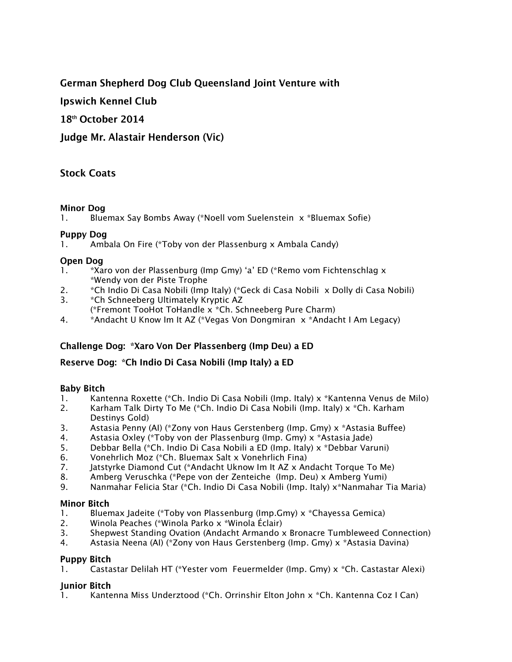### **German Shepherd Dog Club Queensland Joint Venture with**

**Ipswich Kennel Club** 

18th October 2014

Judge Mr. Alastair Henderson (Vic)

### **Stock Coats**

### **Minor Dog**

1. Bluemax Say Bombs Away (\*Noell vom Suelenstein x \*Bluemax Sofie)

### **Puppy Dog**

1. Ambala On Fire (\*Toby von der Plassenburg x Ambala Candy)

### **Open Dog**

- 1. \*Xaro von der Plassenburg (Imp Gmy) 'a' ED (\*Remo vom Fichtenschlag x \*Wendy von der Piste Trophe
- 2. \*Ch Indio Di Casa Nobili (Imp Italy) (\*Geck di Casa Nobili x Dolly di Casa Nobili)
- 3. \*Ch Schneeberg Ultimately Kryptic AZ
- (\*Fremont TooHot ToHandle x \*Ch. Schneeberg Pure Charm)
- 4. \*Andacht U Know Im It AZ (\*Vegas Von Dongmiran x \*Andacht I Am Legacy)

### Challenge Dog: \*Xaro Von Der Plassenberg (Imp Deu) a ED

#### Reserve Dog: \* Ch Indio Di Casa Nobili (Imp Italy) a ED

### **Baby Bitch**

- 1. Kantenna Roxette (\*Ch. Indio Di Casa Nobili (Imp. Italy) x \*Kantenna Venus de Milo)
- 2. Karham Talk Dirty To Me (\*Ch. Indio Di Casa Nobili (Imp. Italy) x \*Ch. Karham Destinys Gold)
- 3. Astasia Penny (AI) (\*Zony von Haus Gerstenberg (Imp. Gmy) x \*Astasia Buffee)
- 4. Astasia Oxley (\*Toby von der Plassenburg (Imp. Gmy) x \*Astasia Jade)
- 5. Debbar Bella (\*Ch. Indio Di Casa Nobili a ED (Imp. Italy) x \*Debbar Varuni)
- 6. Vonehrlich Moz (\*Ch. Bluemax Salt x Vonehrlich Fina)
- 7. Jatstyrke Diamond Cut (\*Andacht Uknow Im It AZ x Andacht Torque To Me)
- 8. Amberg Veruschka (\*Pepe von der Zenteiche (Imp. Deu) x Amberg Yumi)
- 9. Nanmahar Felicia Star (\*Ch. Indio Di Casa Nobili (Imp. Italy) x\*Nanmahar Tia Maria)

### **Minor Bitch**

- 1. Bluemax Jadeite (\*Toby von Plassenburg (Imp.Gmy) x \*Chayessa Gemica)
- 2. Winola Peaches (\*Winola Parko x \*Winola Éclair)
- 3. Shepwest Standing Ovation (Andacht Armando x Bronacre Tumbleweed Connection)
- 4. Astasia Neena (AI) (\*Zony von Haus Gerstenberg (Imp. Gmy) x \*Astasia Davina)

### **Puppy Bitch**

1. Castastar Delilah HT (\*Yester vom Feuermelder (Imp. Gmy) x \*Ch. Castastar Alexi)

### **Iunior Bitch**

1. Kantenna Miss Underztood (\*Ch. Orrinshir Elton John x \*Ch. Kantenna Coz I Can)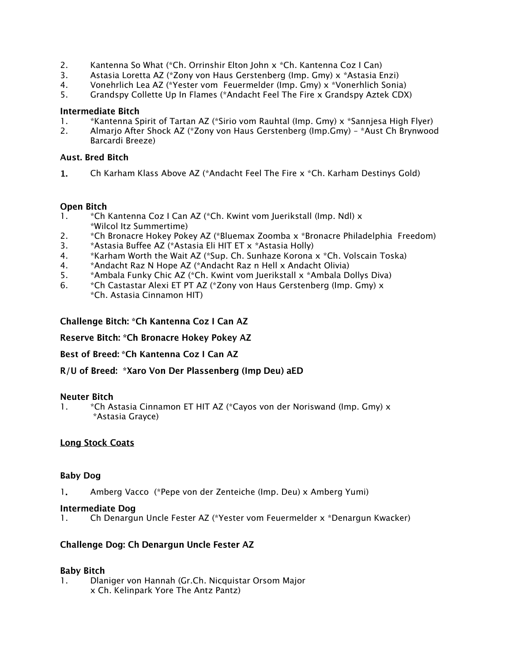- 2. Kantenna So What (\*Ch. Orrinshir Elton John x \*Ch. Kantenna Coz I Can)
- 3. Astasia Loretta AZ (\*Zony von Haus Gerstenberg (Imp. Gmy) x \*Astasia Enzi)
- 4. Vonehrlich Lea AZ (\*Yester vom Feuermelder (Imp. Gmy) x \*Vonerhlich Sonia)
- 5. Grandspy Collette Up In Flames (\*Andacht Feel The Fire x Grandspy Aztek CDX)

#### **Intermediate Bitch**

- 1. \*Kantenna Spirit of Tartan AZ (\*Sirio vom Rauhtal (Imp. Gmy) x \*Sannjesa High Flyer)
- 2. Almarjo After Shock AZ (\*Zony von Haus Gerstenberg (Imp.Gmy) \*Aust Ch Brynwood Barcardi Breeze)

#### **Aust. Bred Bitch**

 $1.$ Ch Karham Klass Above AZ (\*Andacht Feel The Fire x \*Ch. Karham Destinys Gold)

#### **Open Bitch**

- 1. \* Ch Kantenna Coz I Can AZ (\*Ch. Kwint vom Juerikstall (Imp. Ndl) x \*Wilcol Itz Summertime)
- 2. \*Ch Bronacre Hokey Pokey AZ (\*Bluemax Zoomba x \*Bronacre Philadelphia Freedom)
- 3. \*Astasia Buffee AZ (\*Astasia Eli HIT ET x \*Astasia Holly)
- 4. \*Karham Worth the Wait AZ (\*Sup. Ch. Sunhaze Korona x \*Ch. Volscain Toska)
- 4. \*Andacht Raz N Hope AZ (\*Andacht Raz n Hell x Andacht Olivia)
- 5. \*Ambala Funky Chic AZ (\*Ch. Kwint vom Juerikstall x \*Ambala Dollys Diva)
- 6. \*Ch Castastar Alexi ET PT AZ (\*Zony von Haus Gerstenberg (Imp. Gmy) x \*Ch. Astasia Cinnamon HIT)

Challenge Bitch: \* Ch Kantenna Coz I Can AZ

Reserve Bitch: \*Ch Bronacre Hokey Pokey AZ

Best of Breed: \*Ch Kantenna Coz I Can AZ

R/U of Breed: \*Xaro Von Der Plassenberg (Imp Deu) aED

#### **Neuter Bitch**

1. \*Ch Astasia Cinnamon ET HIT AZ (\*Cayos von der Noriswand (Imp. Gmy) x \*Astasia Grayce)

#### **Long Stock Coats**

#### **Baby Dog**

1. Amberg Vacco (\*Pepe von der Zenteiche (Imp. Deu) x Amberg Yumi)

#### **Intermediate Dog**

1. Ch Denargun Uncle Fester AZ (\*Yester vom Feuermelder x \*Denargun Kwacker)

#### **Challenge Dog: Ch Denargun Uncle Fester AZ**

#### **Baby Bitch**

1. Dlaniger von Hannah (Gr.Ch. Nicquistar Orsom Major x Ch. Kelinpark Yore The Antz Pantz)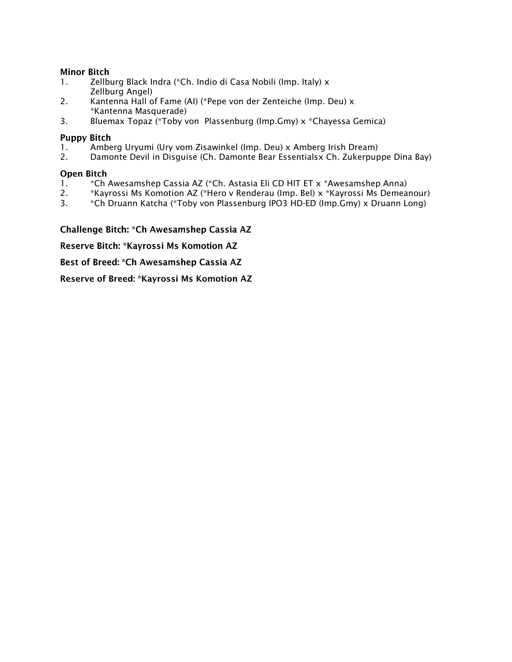#### **Minor Bitch**

- 1. Zellburg Black Indra (\*Ch. Indio di Casa Nobili (Imp. Italy) x Zellburg Angel)
- 2. Kantenna Hall of Fame (AI) (\*Pepe von der Zenteiche (Imp. Deu) x \*Kantenna Masquerade)
- 3. Bluemax Topaz (\*Toby von Plassenburg (Imp.Gmy) x \*Chayessa Gemica)

#### **Puppy Bitch**

- 1. Amberg Uryumi (Ury vom Zisawinkel (Imp. Deu) x Amberg Irish Dream)
- 2. Damonte Devil in Disguise (Ch. Damonte Bear Essentialsx Ch. Zukerpuppe Dina Bay)

#### **Open Bitch**

- 1. \*Ch Awesamshep Cassia AZ (\*Ch. Astasia Eli CD HIT ET x \*Awesamshep Anna)
- 2. \*Kayrossi Ms Komotion AZ (\*Hero v Renderau (Imp. Bel) x \*Kayrossi Ms Demeanour)
- 3. \*Ch Druann Katcha (\*Toby von Plassenburg IPO3 HD-ED (Imp.Gmy) x Druann Long)

Challenge Bitch: \* Ch Awesamshep Cassia AZ

Reserve Bitch: \*Kayrossi Ms Komotion AZ

Best of Breed: \*Ch Awesamshep Cassia AZ

Reserve of Breed: \*Kayrossi Ms Komotion AZ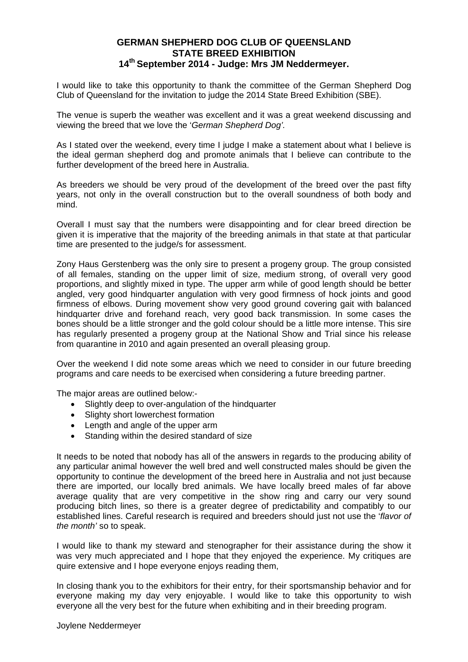### **GERMAN SHEPHERD DOG CLUB OF QUEENSLAND STATE BREED EXHIBITION 14th September 2014 - Judge: Mrs JM Neddermeyer.**

I would like to take this opportunity to thank the committee of the German Shepherd Dog Club of Queensland for the invitation to judge the 2014 State Breed Exhibition (SBE).

The venue is superb the weather was excellent and it was a great weekend discussing and viewing the breed that we love the '*German Shepherd Dog'.* 

As I stated over the weekend, every time I judge I make a statement about what I believe is the ideal german shepherd dog and promote animals that I believe can contribute to the further development of the breed here in Australia.

As breeders we should be very proud of the development of the breed over the past fifty years, not only in the overall construction but to the overall soundness of both body and mind.

Overall I must say that the numbers were disappointing and for clear breed direction be given it is imperative that the majority of the breeding animals in that state at that particular time are presented to the judge/s for assessment.

Zony Haus Gerstenberg was the only sire to present a progeny group. The group consisted of all females, standing on the upper limit of size, medium strong, of overall very good proportions, and slightly mixed in type. The upper arm while of good length should be better angled, very good hindquarter angulation with very good firmness of hock joints and good firmness of elbows. During movement show very good ground covering gait with balanced hindquarter drive and forehand reach, very good back transmission. In some cases the bones should be a little stronger and the gold colour should be a little more intense. This sire has regularly presented a progeny group at the National Show and Trial since his release from quarantine in 2010 and again presented an overall pleasing group.

Over the weekend I did note some areas which we need to consider in our future breeding programs and care needs to be exercised when considering a future breeding partner.

The major areas are outlined below:-

- Slightly deep to over-angulation of the hindquarter
- Slighty short lowerchest formation
- Length and angle of the upper arm
- Standing within the desired standard of size

It needs to be noted that nobody has all of the answers in regards to the producing ability of any particular animal however the well bred and well constructed males should be given the opportunity to continue the development of the breed here in Australia and not just because there are imported, our locally bred animals. We have locally breed males of far above average quality that are very competitive in the show ring and carry our very sound producing bitch lines, so there is a greater degree of predictability and compatibly to our established lines. Careful research is required and breeders should just not use the '*flavor of the month'* so to speak.

I would like to thank my steward and stenographer for their assistance during the show it was very much appreciated and I hope that they enjoyed the experience. My critiques are quire extensive and I hope everyone enjoys reading them,

In closing thank you to the exhibitors for their entry, for their sportsmanship behavior and for everyone making my day very enjoyable. I would like to take this opportunity to wish everyone all the very best for the future when exhibiting and in their breeding program.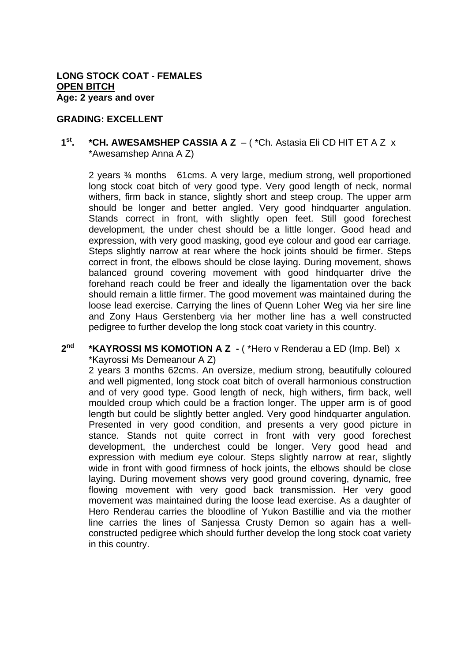#### **GRADING: EXCELLENT**

### **1st. \*CH. AWESAMSHEP CASSIA A Z** – ( \*Ch. Astasia Eli CD HIT ET A Z x \*Awesamshep Anna A Z)

2 years ¾ months 61cms. A very large, medium strong, well proportioned long stock coat bitch of very good type. Very good length of neck, normal withers, firm back in stance, slightly short and steep croup. The upper arm should be longer and better angled. Very good hindquarter angulation. Stands correct in front, with slightly open feet. Still good forechest development, the under chest should be a little longer. Good head and expression, with very good masking, good eye colour and good ear carriage. Steps slightly narrow at rear where the hock joints should be firmer. Steps correct in front, the elbows should be close laying. During movement, shows balanced ground covering movement with good hindquarter drive the forehand reach could be freer and ideally the ligamentation over the back should remain a little firmer. The good movement was maintained during the loose lead exercise. Carrying the lines of Quenn Loher Weg via her sire line and Zony Haus Gerstenberg via her mother line has a well constructed pedigree to further develop the long stock coat variety in this country.

#### **2nd \*KAYROSSI MS KOMOTION A Z -** ( \*Hero v Renderau a ED (Imp. Bel) x \*Kayrossi Ms Demeanour A Z)

2 years 3 months 62cms. An oversize, medium strong, beautifully coloured and well pigmented, long stock coat bitch of overall harmonious construction and of very good type. Good length of neck, high withers, firm back, well moulded croup which could be a fraction longer. The upper arm is of good length but could be slightly better angled. Very good hindquarter angulation. Presented in very good condition, and presents a very good picture in stance. Stands not quite correct in front with very good forechest development, the underchest could be longer. Very good head and expression with medium eye colour. Steps slightly narrow at rear, slightly wide in front with good firmness of hock joints, the elbows should be close laying. During movement shows very good ground covering, dynamic, free flowing movement with very good back transmission. Her very good movement was maintained during the loose lead exercise. As a daughter of Hero Renderau carries the bloodline of Yukon Bastillie and via the mother line carries the lines of Sanjessa Crusty Demon so again has a wellconstructed pedigree which should further develop the long stock coat variety in this country.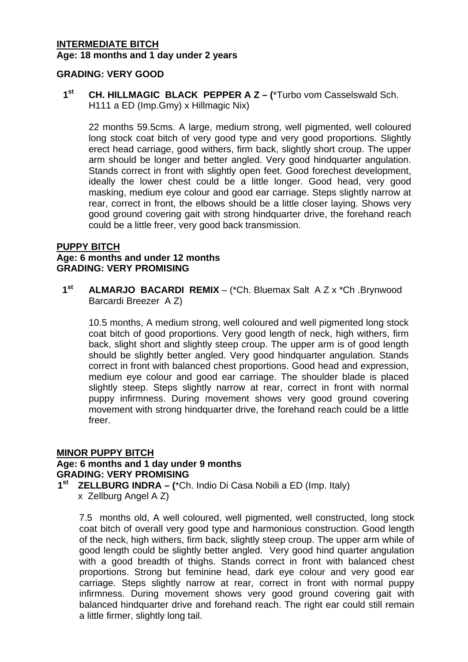### **INTERMEDIATE BITCH Age: 18 months and 1 day under 2 years**

### **GRADING: VERY GOOD**

**1st CH. HILLMAGIC BLACK PEPPER A Z – (**\*Turbo vom Casselswald Sch. H111 a ED (Imp.Gmy) x Hillmagic Nix)

22 months 59.5cms. A large, medium strong, well pigmented, well coloured long stock coat bitch of very good type and very good proportions. Slightly erect head carriage, good withers, firm back, slightly short croup. The upper arm should be longer and better angled. Very good hindquarter angulation. Stands correct in front with slightly open feet. Good forechest development, ideally the lower chest could be a little longer. Good head, very good masking, medium eye colour and good ear carriage. Steps slightly narrow at rear, correct in front, the elbows should be a little closer laying. Shows very good ground covering gait with strong hindquarter drive, the forehand reach could be a little freer, very good back transmission.

### **PUPPY BITCH**

### **Age: 6 months and under 12 months GRADING: VERY PROMISING**

**1st ALMARJO BACARDI REMIX** – (\*Ch. Bluemax Salt A Z x \*Ch .Brynwood Barcardi Breezer A Z)

10.5 months, A medium strong, well coloured and well pigmented long stock coat bitch of good proportions. Very good length of neck, high withers, firm back, slight short and slightly steep croup. The upper arm is of good length should be slightly better angled. Very good hindquarter angulation. Stands correct in front with balanced chest proportions. Good head and expression, medium eye colour and good ear carriage. The shoulder blade is placed slightly steep. Steps slightly narrow at rear, correct in front with normal puppy infirmness. During movement shows very good ground covering movement with strong hindquarter drive, the forehand reach could be a little freer.

### **MINOR PUPPY BITCH**

#### **Age: 6 months and 1 day under 9 months GRADING: VERY PROMISING**

**1st ZELLBURG INDRA – (**\*Ch. Indio Di Casa Nobili a ED (Imp. Italy) x Zellburg Angel A Z)

7.5 months old, A well coloured, well pigmented, well constructed, long stock coat bitch of overall very good type and harmonious construction. Good length of the neck, high withers, firm back, slightly steep croup. The upper arm while of good length could be slightly better angled. Very good hind quarter angulation with a good breadth of thighs. Stands correct in front with balanced chest proportions. Strong but feminine head, dark eye colour and very good ear carriage. Steps slightly narrow at rear, correct in front with normal puppy infirmness. During movement shows very good ground covering gait with balanced hindquarter drive and forehand reach. The right ear could still remain a little firmer, slightly long tail.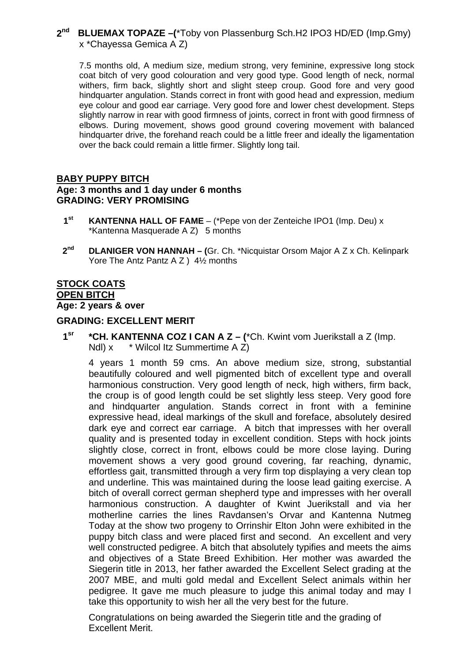#### **2nd BLUEMAX TOPAZE –(**\*Toby von Plassenburg Sch.H2 IPO3 HD/ED (Imp.Gmy) x \*Chayessa Gemica A Z)

7.5 months old, A medium size, medium strong, very feminine, expressive long stock coat bitch of very good colouration and very good type. Good length of neck, normal withers, firm back, slightly short and slight steep croup. Good fore and very good hindquarter angulation. Stands correct in front with good head and expression, medium eye colour and good ear carriage. Very good fore and lower chest development. Steps slightly narrow in rear with good firmness of joints, correct in front with good firmness of elbows. During movement, shows good ground covering movement with balanced hindquarter drive, the forehand reach could be a little freer and ideally the ligamentation over the back could remain a little firmer. Slightly long tail.

### **BABY PUPPY BITCH Age: 3 months and 1 day under 6 months GRADING: VERY PROMISING**

- **1st KANTENNA HALL OF FAME** (\*Pepe von der Zenteiche IPO1 (Imp. Deu) x \*Kantenna Masquerade A Z) 5 months
- **2nd DLANIGER VON HANNAH (**Gr. Ch. \*Nicquistar Orsom Major A Z x Ch. Kelinpark Yore The Antz Pantz A Z ) 4<sup>1</sup>/<sub>2</sub> months

### **STOCK COATS OPEN BITCH**

**Age: 2 years & over** 

### **GRADING: EXCELLENT MERIT**

**1sr \*CH. KANTENNA COZ I CAN A Z – (**\*Ch. Kwint vom Juerikstall a Z (Imp. Ndl) x \* Wilcol Itz Summertime A Z)

4 years 1 month 59 cms. An above medium size, strong, substantial beautifully coloured and well pigmented bitch of excellent type and overall harmonious construction. Very good length of neck, high withers, firm back, the croup is of good length could be set slightly less steep. Very good fore and hindquarter angulation. Stands correct in front with a feminine expressive head, ideal markings of the skull and foreface, absolutely desired dark eye and correct ear carriage. A bitch that impresses with her overall quality and is presented today in excellent condition. Steps with hock joints slightly close, correct in front, elbows could be more close laying. During movement shows a very good ground covering, far reaching, dynamic, effortless gait, transmitted through a very firm top displaying a very clean top and underline. This was maintained during the loose lead gaiting exercise. A bitch of overall correct german shepherd type and impresses with her overall harmonious construction. A daughter of Kwint Juerikstall and via her motherline carries the lines Ravdansen's Orvar and Kantenna Nutmeg Today at the show two progeny to Orrinshir Elton John were exhibited in the puppy bitch class and were placed first and second. An excellent and very well constructed pedigree. A bitch that absolutely typifies and meets the aims and objectives of a State Breed Exhibition. Her mother was awarded the Siegerin title in 2013, her father awarded the Excellent Select grading at the 2007 MBE, and multi gold medal and Excellent Select animals within her pedigree. It gave me much pleasure to judge this animal today and may I take this opportunity to wish her all the very best for the future.

Congratulations on being awarded the Siegerin title and the grading of Excellent Merit.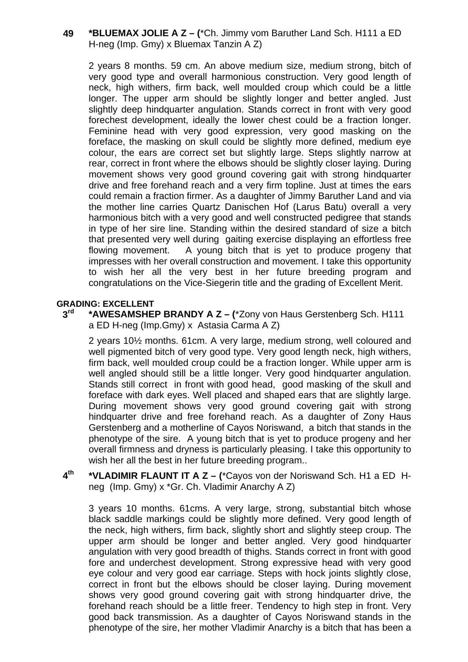### **49 \*BLUEMAX JOLIE A Z – (**\*Ch. Jimmy vom Baruther Land Sch. H111 a ED H-neg (Imp. Gmy) x Bluemax Tanzin A Z)

2 years 8 months. 59 cm. An above medium size, medium strong, bitch of very good type and overall harmonious construction. Very good length of neck, high withers, firm back, well moulded croup which could be a little longer. The upper arm should be slightly longer and better angled. Just slightly deep hindquarter angulation. Stands correct in front with very good forechest development, ideally the lower chest could be a fraction longer. Feminine head with very good expression, very good masking on the foreface, the masking on skull could be slightly more defined, medium eye colour, the ears are correct set but slightly large. Steps slightly narrow at rear, correct in front where the elbows should be slightly closer laying. During movement shows very good ground covering gait with strong hindquarter drive and free forehand reach and a very firm topline. Just at times the ears could remain a fraction firmer. As a daughter of Jimmy Baruther Land and via the mother line carries Quartz Danischen Hof (Larus Batu) overall a very harmonious bitch with a very good and well constructed pedigree that stands in type of her sire line. Standing within the desired standard of size a bitch that presented very well during gaiting exercise displaying an effortless free flowing movement. A young bitch that is yet to produce progeny that impresses with her overall construction and movement. I take this opportunity to wish her all the very best in her future breeding program and congratulations on the Vice-Siegerin title and the grading of Excellent Merit.

#### **GRADING: EXCELLENT**

**3rd \*AWESAMSHEP BRANDY A Z – (**\*Zony von Haus Gerstenberg Sch. H111 a ED H-neg (Imp.Gmy) x Astasia Carma A Z)

2 years 10½ months. 61cm. A very large, medium strong, well coloured and well pigmented bitch of very good type. Very good length neck, high withers, firm back, well moulded croup could be a fraction longer. While upper arm is well angled should still be a little longer. Very good hindquarter angulation. Stands still correct in front with good head, good masking of the skull and foreface with dark eyes. Well placed and shaped ears that are slightly large. During movement shows very good ground covering gait with strong hindquarter drive and free forehand reach. As a daughter of Zony Haus Gerstenberg and a motherline of Cayos Noriswand, a bitch that stands in the phenotype of the sire. A young bitch that is yet to produce progeny and her overall firmness and dryness is particularly pleasing. I take this opportunity to wish her all the best in her future breeding program..

**4th \*VLADIMIR FLAUNT IT A Z – (**\*Cayos von der Noriswand Sch. H1 a ED Hneg (Imp. Gmy) x \*Gr. Ch. Vladimir Anarchy A Z)

3 years 10 months. 61cms. A very large, strong, substantial bitch whose black saddle markings could be slightly more defined. Very good length of the neck, high withers, firm back, slightly short and slightly steep croup. The upper arm should be longer and better angled. Very good hindquarter angulation with very good breadth of thighs. Stands correct in front with good fore and underchest development. Strong expressive head with very good eye colour and very good ear carriage. Steps with hock joints slightly close, correct in front but the elbows should be closer laying. During movement shows very good ground covering gait with strong hindquarter drive, the forehand reach should be a little freer. Tendency to high step in front. Very good back transmission. As a daughter of Cayos Noriswand stands in the phenotype of the sire, her mother Vladimir Anarchy is a bitch that has been a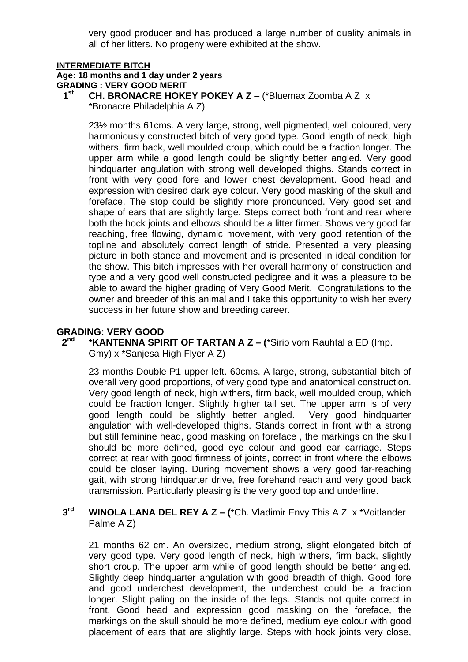very good producer and has produced a large number of quality animals in all of her litters. No progeny were exhibited at the show.

#### **INTERMEDIATE BITCH**

### **Age: 18 months and 1 day under 2 years**

**GRADING : VERY GOOD MERIT** 

- **1st CH. BRONACRE HOKEY POKEY A Z** (\*Bluemax Zoomba A Z x
	- \*Bronacre Philadelphia A Z)

23½ months 61cms. A very large, strong, well pigmented, well coloured, very harmoniously constructed bitch of very good type. Good length of neck, high withers, firm back, well moulded croup, which could be a fraction longer. The upper arm while a good length could be slightly better angled. Very good hindquarter angulation with strong well developed thighs. Stands correct in front with very good fore and lower chest development. Good head and expression with desired dark eye colour. Very good masking of the skull and foreface. The stop could be slightly more pronounced. Very good set and shape of ears that are slightly large. Steps correct both front and rear where both the hock joints and elbows should be a litter firmer. Shows very good far reaching, free flowing, dynamic movement, with very good retention of the topline and absolutely correct length of stride. Presented a very pleasing picture in both stance and movement and is presented in ideal condition for the show. This bitch impresses with her overall harmony of construction and type and a very good well constructed pedigree and it was a pleasure to be able to award the higher grading of Very Good Merit. Congratulations to the owner and breeder of this animal and I take this opportunity to wish her every success in her future show and breeding career.

#### **GRADING: VERY GOOD**

**2nd \*KANTENNA SPIRIT OF TARTAN A Z – (**\*Sirio vom Rauhtal a ED (Imp. Gmy) x \*Sanjesa High Flyer A Z)

23 months Double P1 upper left. 60cms. A large, strong, substantial bitch of overall very good proportions, of very good type and anatomical construction. Very good length of neck, high withers, firm back, well moulded croup, which could be fraction longer. Slightly higher tail set. The upper arm is of very good length could be slightly better angled. Very good hindquarter angulation with well-developed thighs. Stands correct in front with a strong but still feminine head, good masking on foreface , the markings on the skull should be more defined, good eye colour and good ear carriage. Steps correct at rear with good firmness of joints, correct in front where the elbows could be closer laying. During movement shows a very good far-reaching gait, with strong hindquarter drive, free forehand reach and very good back transmission. Particularly pleasing is the very good top and underline.

#### **3rd WINOLA LANA DEL REY A Z – (**\*Ch. Vladimir Envy This A Z x \*Voitlander Palme A Z)

21 months 62 cm. An oversized, medium strong, slight elongated bitch of very good type. Very good length of neck, high withers, firm back, slightly short croup. The upper arm while of good length should be better angled. Slightly deep hindquarter angulation with good breadth of thigh. Good fore and good underchest development, the underchest could be a fraction longer. Slight paling on the inside of the legs. Stands not quite correct in front. Good head and expression good masking on the foreface, the markings on the skull should be more defined, medium eye colour with good placement of ears that are slightly large. Steps with hock joints very close,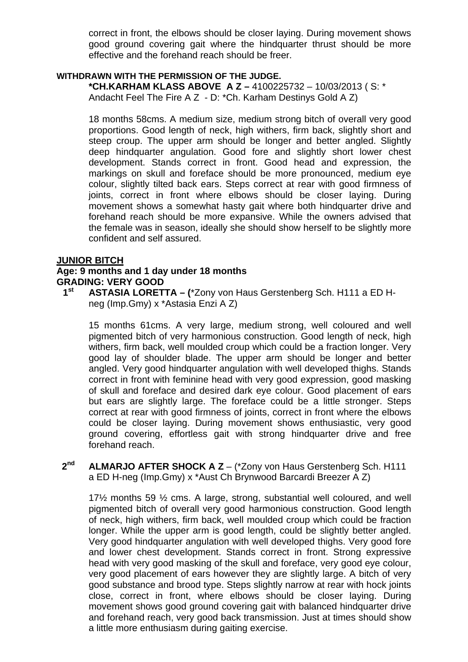correct in front, the elbows should be closer laying. During movement shows good ground covering gait where the hindquarter thrust should be more effective and the forehand reach should be freer.

### **WITHDRAWN WITH THE PERMISSION OF THE JUDGE.**

**\*CH.KARHAM KLASS ABOVE A Z –** 4100225732 – 10/03/2013 ( S: \* Andacht Feel The Fire A Z - D: \*Ch. Karham Destinys Gold A Z)

18 months 58cms. A medium size, medium strong bitch of overall very good proportions. Good length of neck, high withers, firm back, slightly short and steep croup. The upper arm should be longer and better angled. Slightly deep hindquarter angulation. Good fore and slightly short lower chest development. Stands correct in front. Good head and expression, the markings on skull and foreface should be more pronounced, medium eye colour, slightly tilted back ears. Steps correct at rear with good firmness of joints, correct in front where elbows should be closer laying. During movement shows a somewhat hasty gait where both hindquarter drive and forehand reach should be more expansive. While the owners advised that the female was in season, ideally she should show herself to be slightly more confident and self assured.

### **JUNIOR BITCH**

### **Age: 9 months and 1 day under 18 months GRADING: VERY GOOD**

**1st ASTASIA LORETTA – (**\*Zony von Haus Gerstenberg Sch. H111 a ED Hneg (Imp.Gmy) x \*Astasia Enzi A Z)

15 months 61cms. A very large, medium strong, well coloured and well pigmented bitch of very harmonious construction. Good length of neck, high withers, firm back, well moulded croup which could be a fraction longer. Very good lay of shoulder blade. The upper arm should be longer and better angled. Very good hindquarter angulation with well developed thighs. Stands correct in front with feminine head with very good expression, good masking of skull and foreface and desired dark eye colour. Good placement of ears but ears are slightly large. The foreface could be a little stronger. Steps correct at rear with good firmness of joints, correct in front where the elbows could be closer laying. During movement shows enthusiastic, very good ground covering, effortless gait with strong hindquarter drive and free forehand reach.

**2nd ALMARJO AFTER SHOCK A Z** – (\*Zony von Haus Gerstenberg Sch. H111 a ED H-neg (Imp.Gmy) x \*Aust Ch Brynwood Barcardi Breezer A Z)

17½ months 59 ½ cms. A large, strong, substantial well coloured, and well pigmented bitch of overall very good harmonious construction. Good length of neck, high withers, firm back, well moulded croup which could be fraction longer. While the upper arm is good length, could be slightly better angled. Very good hindquarter angulation with well developed thighs. Very good fore and lower chest development. Stands correct in front. Strong expressive head with very good masking of the skull and foreface, very good eye colour, very good placement of ears however they are slightly large. A bitch of very good substance and brood type. Steps slightly narrow at rear with hock joints close, correct in front, where elbows should be closer laying. During movement shows good ground covering gait with balanced hindquarter drive and forehand reach, very good back transmission. Just at times should show a little more enthusiasm during gaiting exercise.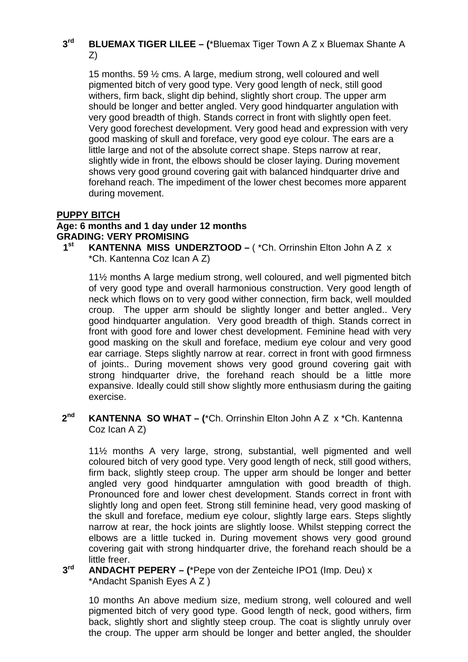#### **3rd BLUEMAX TIGER LILEE – (**\*Bluemax Tiger Town A Z x Bluemax Shante A Z)

15 months. 59 ½ cms. A large, medium strong, well coloured and well pigmented bitch of very good type. Very good length of neck, still good withers, firm back, slight dip behind, slightly short croup. The upper arm should be longer and better angled. Very good hindquarter angulation with very good breadth of thigh. Stands correct in front with slightly open feet. Very good forechest development. Very good head and expression with very good masking of skull and foreface, very good eye colour. The ears are a little large and not of the absolute correct shape. Steps narrow at rear, slightly wide in front, the elbows should be closer laying. During movement shows very good ground covering gait with balanced hindquarter drive and forehand reach. The impediment of the lower chest becomes more apparent during movement.

### **PUPPY BITCH**

## **Age: 6 months and 1 day under 12 months GRADING: VERY PROMISING**

**KANTENNA MISS UNDERZTOOD – ( \*Ch. Orrinshin Elton John A Z x** \*Ch. Kantenna Coz Ican A Z)

11½ months A large medium strong, well coloured, and well pigmented bitch of very good type and overall harmonious construction. Very good length of neck which flows on to very good wither connection, firm back, well moulded croup. The upper arm should be slightly longer and better angled.. Very good hindquarter angulation. Very good breadth of thigh. Stands correct in front with good fore and lower chest development. Feminine head with very good masking on the skull and foreface, medium eye colour and very good ear carriage. Steps slightly narrow at rear. correct in front with good firmness of joints.. During movement shows very good ground covering gait with strong hindquarter drive, the forehand reach should be a little more expansive. Ideally could still show slightly more enthusiasm during the gaiting exercise.

**2nd KANTENNA SO WHAT – (**\*Ch. Orrinshin Elton John A Z x \*Ch. Kantenna Coz Ican A Z)

11½ months A very large, strong, substantial, well pigmented and well coloured bitch of very good type. Very good length of neck, still good withers, firm back, slightly steep croup. The upper arm should be longer and better angled very good hindquarter amngulation with good breadth of thigh. Pronounced fore and lower chest development. Stands correct in front with slightly long and open feet. Strong still feminine head, very good masking of the skull and foreface, medium eye colour, slightly large ears. Steps slightly narrow at rear, the hock joints are slightly loose. Whilst stepping correct the elbows are a little tucked in. During movement shows very good ground covering gait with strong hindquarter drive, the forehand reach should be a little freer.

#### **3rd ANDACHT PEPERY – (**\*Pepe von der Zenteiche IPO1 (Imp. Deu) x \*Andacht Spanish Eyes A Z )

10 months An above medium size, medium strong, well coloured and well pigmented bitch of very good type. Good length of neck, good withers, firm back, slightly short and slightly steep croup. The coat is slightly unruly over the croup. The upper arm should be longer and better angled, the shoulder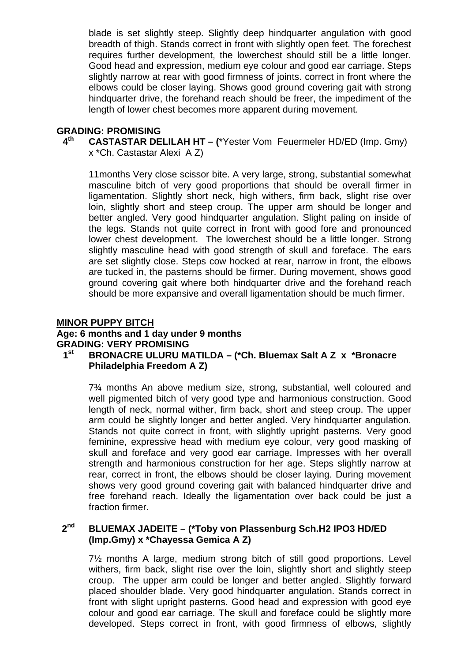blade is set slightly steep. Slightly deep hindquarter angulation with good breadth of thigh. Stands correct in front with slightly open feet. The forechest requires further development, the lowerchest should still be a little longer. Good head and expression, medium eye colour and good ear carriage. Steps slightly narrow at rear with good firmness of joints. correct in front where the elbows could be closer laying. Shows good ground covering gait with strong hindquarter drive, the forehand reach should be freer, the impediment of the length of lower chest becomes more apparent during movement.

# **GRADING: PROMISING**

**4th CASTASTAR DELILAH HT – (**\*Yester Vom Feuermeler HD/ED (Imp. Gmy) x \*Ch. Castastar Alexi A Z)

11months Very close scissor bite. A very large, strong, substantial somewhat masculine bitch of very good proportions that should be overall firmer in ligamentation. Slightly short neck, high withers, firm back, slight rise over loin, slightly short and steep croup. The upper arm should be longer and better angled. Very good hindquarter angulation. Slight paling on inside of the legs. Stands not quite correct in front with good fore and pronounced lower chest development. The lowerchest should be a little longer. Strong slightly masculine head with good strength of skull and foreface. The ears are set slightly close. Steps cow hocked at rear, narrow in front, the elbows are tucked in, the pasterns should be firmer. During movement, shows good ground covering gait where both hindquarter drive and the forehand reach should be more expansive and overall ligamentation should be much firmer.

### **MINOR PUPPY BITCH**

### **Age: 6 months and 1 day under 9 months GRADING: VERY PROMISING 1st BRONACRE ULURU MATILDA – (\*Ch. Bluemax Salt A Z x \*Bronacre**

**Philadelphia Freedom A Z)** 

7¾ months An above medium size, strong, substantial, well coloured and well pigmented bitch of very good type and harmonious construction. Good length of neck, normal wither, firm back, short and steep croup. The upper arm could be slightly longer and better angled. Very hindquarter angulation. Stands not quite correct in front, with slightly upright pasterns. Very good feminine, expressive head with medium eye colour, very good masking of skull and foreface and very good ear carriage. Impresses with her overall strength and harmonious construction for her age. Steps slightly narrow at rear, correct in front, the elbows should be closer laying. During movement shows very good ground covering gait with balanced hindquarter drive and free forehand reach. Ideally the ligamentation over back could be just a fraction firmer.

#### **2nd BLUEMAX JADEITE – (\*Toby von Plassenburg Sch.H2 IPO3 HD/ED (Imp.Gmy) x \*Chayessa Gemica A Z)**

7½ months A large, medium strong bitch of still good proportions. Level withers, firm back, slight rise over the loin, slightly short and slightly steep croup. The upper arm could be longer and better angled. Slightly forward placed shoulder blade. Very good hindquarter angulation. Stands correct in front with slight upright pasterns. Good head and expression with good eye colour and good ear carriage. The skull and foreface could be slightly more developed. Steps correct in front, with good firmness of elbows, slightly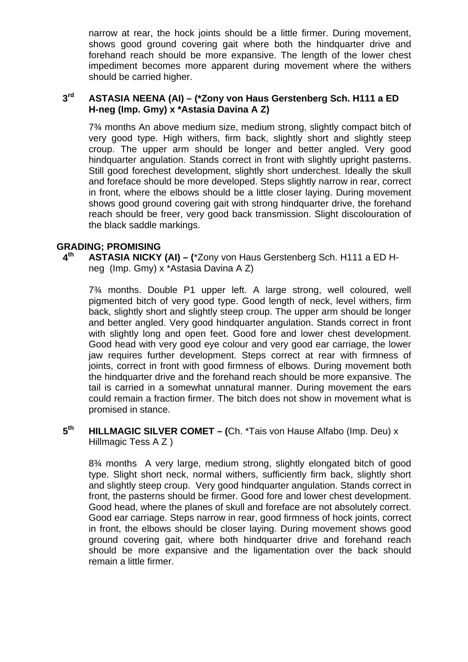narrow at rear, the hock joints should be a little firmer. During movement, shows good ground covering gait where both the hindquarter drive and forehand reach should be more expansive. The length of the lower chest impediment becomes more apparent during movement where the withers should be carried higher.

#### **3rd ASTASIA NEENA (AI) – (\*Zony von Haus Gerstenberg Sch. H111 a ED H-neg (Imp. Gmy) x \*Astasia Davina A Z)**

7¾ months An above medium size, medium strong, slightly compact bitch of very good type. High withers, firm back, slightly short and slightly steep croup. The upper arm should be longer and better angled. Very good hindquarter angulation. Stands correct in front with slightly upright pasterns. Still good forechest development, slightly short underchest. Ideally the skull and foreface should be more developed. Steps slightly narrow in rear, correct in front, where the elbows should be a little closer laying. During movement shows good ground covering gait with strong hindquarter drive, the forehand reach should be freer, very good back transmission. Slight discolouration of the black saddle markings.

### **GRADING; PROMISING**

**4th ASTASIA NICKY (AI) – (**\*Zony von Haus Gerstenberg Sch. H111 a ED Hneg (Imp. Gmy) x \*Astasia Davina A Z)

7¾ months. Double P1 upper left. A large strong, well coloured, well pigmented bitch of very good type. Good length of neck, level withers, firm back, slightly short and slightly steep croup. The upper arm should be longer and better angled. Very good hindquarter angulation. Stands correct in front with slightly long and open feet. Good fore and lower chest development. Good head with very good eye colour and very good ear carriage, the lower jaw requires further development. Steps correct at rear with firmness of joints, correct in front with good firmness of elbows. During movement both the hindquarter drive and the forehand reach should be more expansive. The tail is carried in a somewhat unnatural manner. During movement the ears could remain a fraction firmer. The bitch does not show in movement what is promised in stance.

**5th HILLMAGIC SILVER COMET – (**Ch. \*Tais von Hause Alfabo (Imp. Deu) x Hillmagic Tess A Z )

8¾ months A very large, medium strong, slightly elongated bitch of good type. Slight short neck, normal withers, sufficiently firm back, slightly short and slightly steep croup. Very good hindquarter angulation. Stands correct in front, the pasterns should be firmer. Good fore and lower chest development. Good head, where the planes of skull and foreface are not absolutely correct. Good ear carriage. Steps narrow in rear, good firmness of hock joints, correct in front, the elbows should be closer laying. During movement shows good ground covering gait, where both hindquarter drive and forehand reach should be more expansive and the ligamentation over the back should remain a little firmer.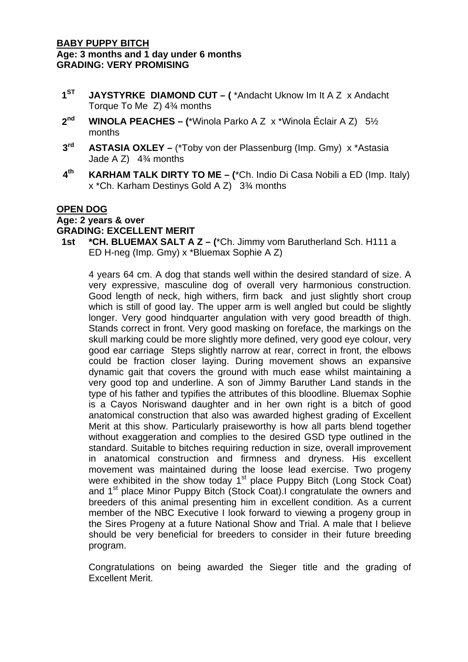### **BABY PUPPY BITCH Age: 3 months and 1 day under 6 months GRADING: VERY PROMISING**

- **1ST JAYSTYRKE DIAMOND CUT (** \*Andacht Uknow Im It A Z x Andacht Torque To Me Z) 4¾ months
- **2nd WINOLA PEACHES (**\*Winola Parko A Z x \*Winola Éclair A Z) 5½ months
- **3rd ASTASIA OXLEY –** (\*Toby von der Plassenburg (Imp. Gmy) x \*Astasia Jade A  $Z$ ) 4<sup>3</sup>/<sub>4</sub> months
- **4th KARHAM TALK DIRTY TO ME (**\*Ch. Indio Di Casa Nobili a ED (Imp. Italy) x \*Ch. Karham Destinys Gold A Z) 3¾ months

#### **OPEN DOG**

### **Age: 2 years & over**

### **GRADING: EXCELLENT MERIT**

**1st \*CH. BLUEMAX SALT A Z – (**\*Ch. Jimmy vom Barutherland Sch. H111 a ED H-neg (Imp. Gmy) x \*Bluemax Sophie A Z)

4 years 64 cm. A dog that stands well within the desired standard of size. A very expressive, masculine dog of overall very harmonious construction. Good length of neck, high withers, firm back and just slightly short croup which is still of good lay. The upper arm is well angled but could be slightly longer. Very good hindquarter angulation with very good breadth of thigh. Stands correct in front. Very good masking on foreface, the markings on the skull marking could be more slightly more defined, very good eye colour, very good ear carriage Steps slightly narrow at rear, correct in front, the elbows could be fraction closer laying. During movement shows an expansive dynamic gait that covers the ground with much ease whilst maintaining a very good top and underline. A son of Jimmy Baruther Land stands in the type of his father and typifies the attributes of this bloodline. Bluemax Sophie is a Cayos Noriswand daughter and in her own right is a bitch of good anatomical construction that also was awarded highest grading of Excellent Merit at this show. Particularly praiseworthy is how all parts blend together without exaggeration and complies to the desired GSD type outlined in the standard. Suitable to bitches requiring reduction in size, overall improvement in anatomical construction and firmness and dryness. His excellent movement was maintained during the loose lead exercise. Two progeny were exhibited in the show today 1<sup>st</sup> place Puppy Bitch (Long Stock Coat) and 1<sup>st</sup> place Minor Puppy Bitch (Stock Coat).I congratulate the owners and breeders of this animal presenting him in excellent condition. As a current member of the NBC Executive I look forward to viewing a progeny group in the Sires Progeny at a future National Show and Trial. A male that I believe should be very beneficial for breeders to consider in their future breeding program.

Congratulations on being awarded the Sieger title and the grading of Excellent Merit.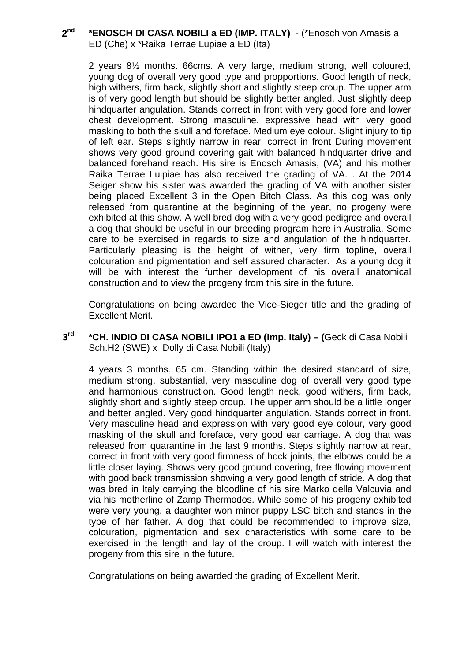#### **2nd \*ENOSCH DI CASA NOBILI a ED (IMP. ITALY)** - (\*Enosch von Amasis a ED (Che) x \*Raika Terrae Lupiae a ED (Ita)

2 years 8½ months. 66cms. A very large, medium strong, well coloured, young dog of overall very good type and propportions. Good length of neck, high withers, firm back, slightly short and slightly steep croup. The upper arm is of very good length but should be slightly better angled. Just slightly deep hindquarter angulation. Stands correct in front with very good fore and lower chest development. Strong masculine, expressive head with very good masking to both the skull and foreface. Medium eye colour. Slight injury to tip of left ear. Steps slightly narrow in rear, correct in front During movement shows very good ground covering gait with balanced hindquarter drive and balanced forehand reach. His sire is Enosch Amasis, (VA) and his mother Raika Terrae Luipiae has also received the grading of VA. . At the 2014 Seiger show his sister was awarded the grading of VA with another sister being placed Excellent 3 in the Open Bitch Class. As this dog was only released from quarantine at the beginning of the year, no progeny were exhibited at this show. A well bred dog with a very good pedigree and overall a dog that should be useful in our breeding program here in Australia. Some care to be exercised in regards to size and angulation of the hindquarter. Particularly pleasing is the height of wither, very firm topline, overall colouration and pigmentation and self assured character. As a young dog it will be with interest the further development of his overall anatomical construction and to view the progeny from this sire in the future.

Congratulations on being awarded the Vice-Sieger title and the grading of Excellent Merit.

**3rd \*CH. INDIO DI CASA NOBILI IPO1 a ED (Imp. Italy) – (**Geck di Casa Nobili Sch.H2 (SWE) x Dolly di Casa Nobili (Italy)

4 years 3 months. 65 cm. Standing within the desired standard of size, medium strong, substantial, very masculine dog of overall very good type and harmonious construction. Good length neck, good withers, firm back, slightly short and slightly steep croup. The upper arm should be a little longer and better angled. Very good hindquarter angulation. Stands correct in front. Very masculine head and expression with very good eye colour, very good masking of the skull and foreface, very good ear carriage. A dog that was released from quarantine in the last 9 months. Steps slightly narrow at rear, correct in front with very good firmness of hock joints, the elbows could be a little closer laying. Shows very good ground covering, free flowing movement with good back transmission showing a very good length of stride. A dog that was bred in Italy carrying the bloodline of his sire Marko della Valcuvia and via his motherline of Zamp Thermodos. While some of his progeny exhibited were very young, a daughter won minor puppy LSC bitch and stands in the type of her father. A dog that could be recommended to improve size, colouration, pigmentation and sex characteristics with some care to be exercised in the length and lay of the croup. I will watch with interest the progeny from this sire in the future.

Congratulations on being awarded the grading of Excellent Merit.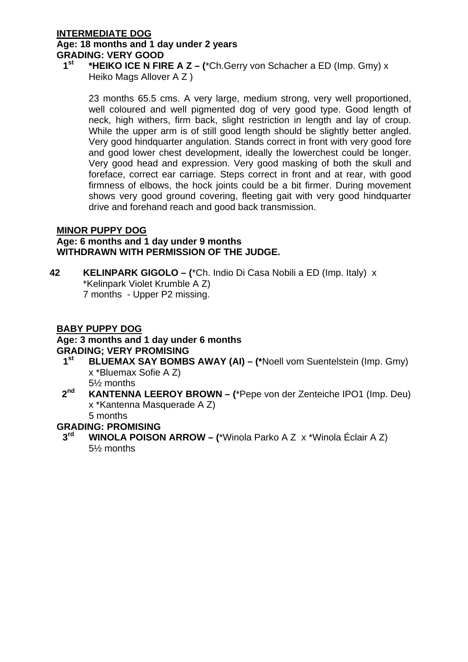### **INTERMEDIATE DOG**

## **Age: 18 months and 1 day under 2 years GRADING: VERY GOOD**

### **1st \*HEIKO ICE N FIRE A Z – (**\*Ch.Gerry von Schacher a ED (Imp. Gmy) x Heiko Mags Allover A Z )

23 months 65.5 cms. A very large, medium strong, very well proportioned, well coloured and well pigmented dog of very good type. Good length of neck, high withers, firm back, slight restriction in length and lay of croup. While the upper arm is of still good length should be slightly better angled. Very good hindquarter angulation. Stands correct in front with very good fore and good lower chest development, ideally the lowerchest could be longer. Very good head and expression. Very good masking of both the skull and foreface, correct ear carriage. Steps correct in front and at rear, with good firmness of elbows, the hock joints could be a bit firmer. During movement shows very good ground covering, fleeting gait with very good hindquarter drive and forehand reach and good back transmission.

### **MINOR PUPPY DOG**

### **Age: 6 months and 1 day under 9 months WITHDRAWN WITH PERMISSION OF THE JUDGE.**

**42 KELINPARK GIGOLO – (**\*Ch. Indio Di Casa Nobili a ED (Imp. Italy) x \*Kelinpark Violet Krumble A Z) 7 months - Upper P2 missing.

### **BABY PUPPY DOG**

### **Age: 3 months and 1 day under 6 months GRADING; VERY PROMISING**

**1st BLUEMAX SAY BOMBS AWAY (AI) – (\***Noell vom Suentelstein (Imp. Gmy) x \*Bluemax Sofie A Z)

5½ months

**2nd KANTENNA LEEROY BROWN – (**\*Pepe von der Zenteiche IPO1 (Imp. Deu) x \*Kantenna Masquerade A Z)

5 months

### **GRADING: PROMISING**

**3rd WINOLA POISON ARROW – (**\*Winola Parko A Z x \*Winola Éclair A Z) 5½ months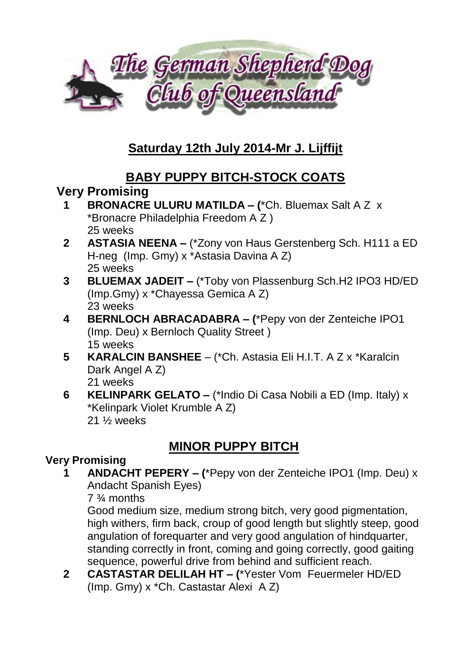

# **Saturday 12th July 2014-Mr J. Lijffijt**

## **BABY PUPPY BITCH-STOCK COATS**

## **Very Promising**

- **1 BRONACRE ULURU MATILDA – (**\*Ch. Bluemax Salt A Z x \*Bronacre Philadelphia Freedom A Z ) 25 weeks
- **2 ASTASIA NEENA –** (\*Zony von Haus Gerstenberg Sch. H111 a ED H-neg (Imp. Gmy) x \*Astasia Davina A Z) 25 weeks
- **3 BLUEMAX JADEIT –** (\*Toby von Plassenburg Sch.H2 IPO3 HD/ED (Imp.Gmy) x \*Chayessa Gemica A Z) 23 weeks
- **4 BERNLOCH ABRACADABRA – (**\*Pepy von der Zenteiche IPO1 (Imp. Deu) x Bernloch Quality Street ) 15 weeks
- **5 KARALCIN BANSHEE**  (\*Ch. Astasia Eli H.I.T. A Z x \*Karalcin Dark Angel A Z) 21 weeks
- **6 KELINPARK GELATO –** (\*Indio Di Casa Nobili a ED (Imp. Italy) x \*Kelinpark Violet Krumble A Z) 21 ½ weeks

## **MINOR PUPPY BITCH**

### **Very Promising**

**1 ANDACHT PEPERY – (**\*Pepy von der Zenteiche IPO1 (Imp. Deu) x Andacht Spanish Eyes)

7 ¾ months

Good medium size, medium strong bitch, very good pigmentation, high withers, firm back, croup of good length but slightly steep, good angulation of forequarter and very good angulation of hindquarter, standing correctly in front, coming and going correctly, good gaiting sequence, powerful drive from behind and sufficient reach.

**2 CASTASTAR DELILAH HT – (**\*Yester Vom Feuermeler HD/ED (Imp. Gmy) x \*Ch. Castastar Alexi A Z)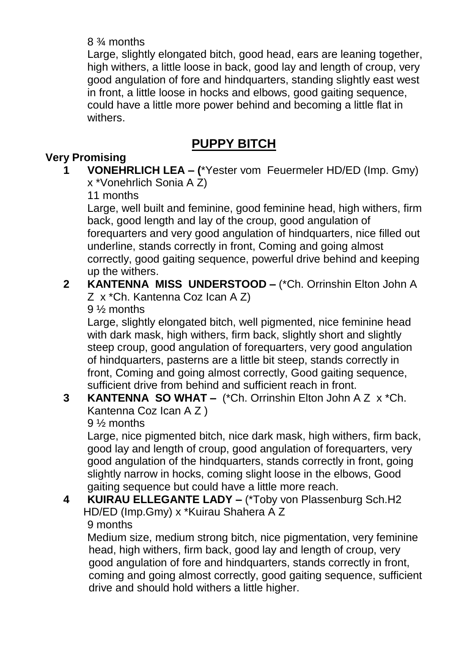### 8 ¾ months

Large, slightly elongated bitch, good head, ears are leaning together, high withers, a little loose in back, good lay and length of croup, very good angulation of fore and hindquarters, standing slightly east west in front, a little loose in hocks and elbows, good gaiting sequence, could have a little more power behind and becoming a little flat in withers.

# **PUPPY BITCH**

### **Very Promising**

**1 VONEHRLICH LEA – (**\*Yester vom Feuermeler HD/ED (Imp. Gmy) x \*Vonehrlich Sonia A Z)

11 months

Large, well built and feminine, good feminine head, high withers, firm back, good length and lay of the croup, good angulation of forequarters and very good angulation of hindquarters, nice filled out underline, stands correctly in front, Coming and going almost correctly, good gaiting sequence, powerful drive behind and keeping up the withers.

### **2 KANTENNA MISS UNDERSTOOD –** (\*Ch. Orrinshin Elton John A Z x \*Ch. Kantenna Coz Ican A Z)

9 ½ months

Large, slightly elongated bitch, well pigmented, nice feminine head with dark mask, high withers, firm back, slightly short and slightly steep croup, good angulation of forequarters, very good angulation of hindquarters, pasterns are a little bit steep, stands correctly in front, Coming and going almost correctly, Good gaiting sequence, sufficient drive from behind and sufficient reach in front.

### **3 KANTENNA SO WHAT –** (\*Ch. Orrinshin Elton John A Z x \*Ch. Kantenna Coz Ican A Z )

9 ½ months

Large, nice pigmented bitch, nice dark mask, high withers, firm back, good lay and length of croup, good angulation of forequarters, very good angulation of the hindquarters, stands correctly in front, going slightly narrow in hocks, coming slight loose in the elbows, Good gaiting sequence but could have a little more reach.

### **4 KUIRAU ELLEGANTE LADY –** (\*Toby von Plassenburg Sch.H2 HD/ED (Imp.Gmy) x \*Kuirau Shahera A Z 9 months

Medium size, medium strong bitch, nice pigmentation, very feminine head, high withers, firm back, good lay and length of croup, very good angulation of fore and hindquarters, stands correctly in front, coming and going almost correctly, good gaiting sequence, sufficient drive and should hold withers a little higher.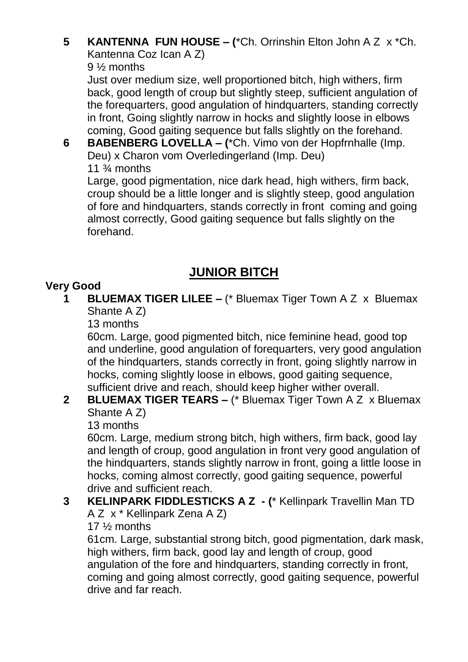### **5 KANTENNA FUN HOUSE – (**\*Ch. Orrinshin Elton John A Z x \*Ch. Kantenna Coz Ican A Z)

9 ½ months

Just over medium size, well proportioned bitch, high withers, firm back, good length of croup but slightly steep, sufficient angulation of the forequarters, good angulation of hindquarters, standing correctly in front, Going slightly narrow in hocks and slightly loose in elbows coming, Good gaiting sequence but falls slightly on the forehand.

**6 BABENBERG LOVELLA – (**\*Ch. Vimo von der Hopfrnhalle (Imp. Deu) x Charon vom Overledingerland (Imp. Deu)

11  $\frac{3}{4}$  months

Large, good pigmentation, nice dark head, high withers, firm back, croup should be a little longer and is slightly steep, good angulation of fore and hindquarters, stands correctly in front coming and going almost correctly, Good gaiting sequence but falls slightly on the forehand.

# **JUNIOR BITCH**

## **Very Good**

**1 BLUEMAX TIGER LILEE –** (\* Bluemax Tiger Town A Z x Bluemax Shante A Z)

13 months

60cm. Large, good pigmented bitch, nice feminine head, good top and underline, good angulation of forequarters, very good angulation of the hindquarters, stands correctly in front, going slightly narrow in hocks, coming slightly loose in elbows, good gaiting sequence, sufficient drive and reach, should keep higher wither overall.

## **2 BLUEMAX TIGER TEARS –** (\* Bluemax Tiger Town A Z x Bluemax Shante A Z)

13 months

60cm. Large, medium strong bitch, high withers, firm back, good lay and length of croup, good angulation in front very good angulation of the hindquarters, stands slightly narrow in front, going a little loose in hocks, coming almost correctly, good gaiting sequence, powerful drive and sufficient reach.

**3 KELINPARK FIDDLESTICKS A Z - (**\* Kellinpark Travellin Man TD A Z x \* Kellinpark Zena A Z)

## 17 ½ months

61cm. Large, substantial strong bitch, good pigmentation, dark mask, high withers, firm back, good lay and length of croup, good angulation of the fore and hindquarters, standing correctly in front, coming and going almost correctly, good gaiting sequence, powerful drive and far reach.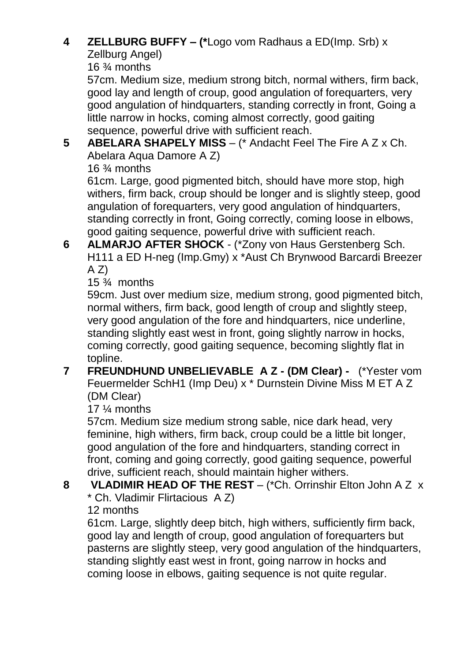## **4 ZELLBURG BUFFY – (\***Logo vom Radhaus a ED(Imp. Srb) x

Zellburg Angel)

16 ¾ months

57cm. Medium size, medium strong bitch, normal withers, firm back, good lay and length of croup, good angulation of forequarters, very good angulation of hindquarters, standing correctly in front, Going a little narrow in hocks, coming almost correctly, good gaiting sequence, powerful drive with sufficient reach.

**5 ABELARA SHAPELY MISS** – (\* Andacht Feel The Fire A Z x Ch. Abelara Aqua Damore A Z)

16 ¾ months

61cm. Large, good pigmented bitch, should have more stop, high withers, firm back, croup should be longer and is slightly steep, good angulation of forequarters, very good angulation of hindquarters, standing correctly in front, Going correctly, coming loose in elbows, good gaiting sequence, powerful drive with sufficient reach.

**6 ALMARJO AFTER SHOCK** - (\*Zony von Haus Gerstenberg Sch. H111 a ED H-neg (Imp.Gmy) x \*Aust Ch Brynwood Barcardi Breezer  $A Z$ 

15  $\frac{3}{4}$  months

59cm. Just over medium size, medium strong, good pigmented bitch, normal withers, firm back, good length of croup and slightly steep, very good angulation of the fore and hindquarters, nice underline, standing slightly east west in front, going slightly narrow in hocks, coming correctly, good gaiting sequence, becoming slightly flat in topline.

### **7 FREUNDHUND UNBELIEVABLE A Z - (DM Clear) -** (\*Yester vom Feuermelder SchH1 (Imp Deu) x \* Durnstein Divine Miss M ET A Z (DM Clear)

17 ¼ months

57cm. Medium size medium strong sable, nice dark head, very feminine, high withers, firm back, croup could be a little bit longer, good angulation of the fore and hindquarters, standing correct in front, coming and going correctly, good gaiting sequence, powerful drive, sufficient reach, should maintain higher withers.

**8 VLADIMIR HEAD OF THE REST** – (\*Ch. Orrinshir Elton John A Z x \* Ch. Vladimir Flirtacious A Z)

12 months

61cm. Large, slightly deep bitch, high withers, sufficiently firm back, good lay and length of croup, good angulation of forequarters but pasterns are slightly steep, very good angulation of the hindquarters, standing slightly east west in front, going narrow in hocks and coming loose in elbows, gaiting sequence is not quite regular.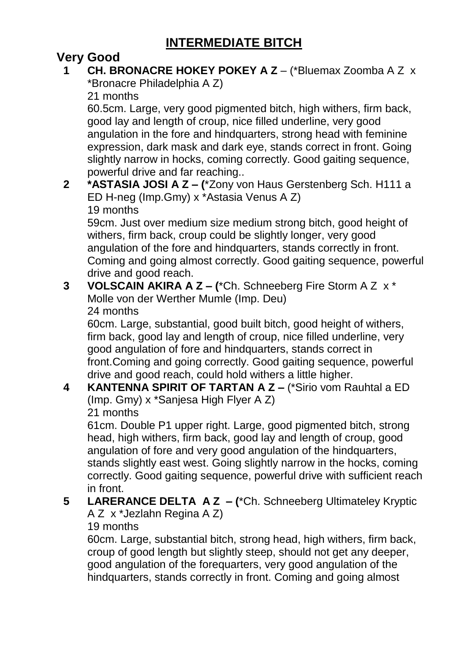# **INTERMEDIATE BITCH**

## **Very Good**

### **1 CH. BRONACRE HOKEY POKEY A Z** – (\*Bluemax Zoomba A Z x \*Bronacre Philadelphia A Z)

21 months

60.5cm. Large, very good pigmented bitch, high withers, firm back, good lay and length of croup, nice filled underline, very good angulation in the fore and hindquarters, strong head with feminine expression, dark mask and dark eye, stands correct in front. Going slightly narrow in hocks, coming correctly. Good gaiting sequence, powerful drive and far reaching..

### **2 \*ASTASIA JOSI A Z – (**\*Zony von Haus Gerstenberg Sch. H111 a ED H-neg (Imp.Gmy) x \*Astasia Venus A Z) 19 months

59cm. Just over medium size medium strong bitch, good height of withers, firm back, croup could be slightly longer, very good angulation of the fore and hindquarters, stands correctly in front. Coming and going almost correctly. Good gaiting sequence, powerful drive and good reach.

### **3 VOLSCAIN AKIRA A Z – (**\*Ch. Schneeberg Fire Storm A Z x \* Molle von der Werther Mumle (Imp. Deu) 24 months

60cm. Large, substantial, good built bitch, good height of withers, firm back, good lay and length of croup, nice filled underline, very good angulation of fore and hindquarters, stands correct in front.Coming and going correctly. Good gaiting sequence, powerful drive and good reach, could hold withers a little higher.

### **4 KANTENNA SPIRIT OF TARTAN A Z –** (\*Sirio vom Rauhtal a ED (Imp. Gmy) x \*Sanjesa High Flyer A Z) 21 months

61cm. Double P1 upper right. Large, good pigmented bitch, strong head, high withers, firm back, good lay and length of croup, good angulation of fore and very good angulation of the hindquarters, stands slightly east west. Going slightly narrow in the hocks, coming correctly. Good gaiting sequence, powerful drive with sufficient reach in front.

### **5 LARERANCE DELTA A Z – (**\*Ch. Schneeberg Ultimateley Kryptic A Z x \*Jezlahn Regina A Z)

### 19 months

60cm. Large, substantial bitch, strong head, high withers, firm back, croup of good length but slightly steep, should not get any deeper, good angulation of the forequarters, very good angulation of the hindquarters, stands correctly in front. Coming and going almost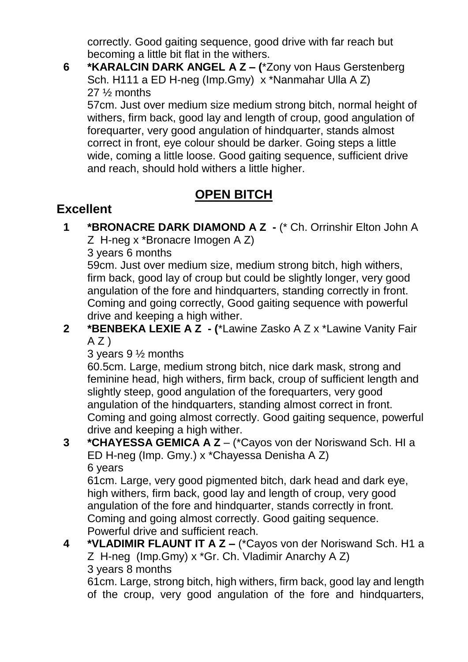correctly. Good gaiting sequence, good drive with far reach but becoming a little bit flat in the withers.

**6 \*KARALCIN DARK ANGEL A Z – (**\*Zony von Haus Gerstenberg Sch. H111 a ED H-neg (Imp.Gmy) x \*Nanmahar Ulla A Z) 27 ½ months

57cm. Just over medium size medium strong bitch, normal height of withers, firm back, good lay and length of croup, good angulation of forequarter, very good angulation of hindquarter, stands almost correct in front, eye colour should be darker. Going steps a little wide, coming a little loose. Good gaiting sequence, sufficient drive and reach, should hold withers a little higher.

# **OPEN BITCH**

# **Excellent**

**1 \*BRONACRE DARK DIAMOND A Z -** (\* Ch. Orrinshir Elton John A

Z H-neg x \*Bronacre Imogen A Z)

3 years 6 months

59cm. Just over medium size, medium strong bitch, high withers, firm back, good lay of croup but could be slightly longer, very good angulation of the fore and hindquarters, standing correctly in front. Coming and going correctly, Good gaiting sequence with powerful drive and keeping a high wither.

**2 \*BENBEKA LEXIE A Z - (**\*Lawine Zasko A Z x \*Lawine Vanity Fair  $A Z$ )

3 years 9 ½ months

60.5cm. Large, medium strong bitch, nice dark mask, strong and feminine head, high withers, firm back, croup of sufficient length and slightly steep, good angulation of the forequarters, very good angulation of the hindquarters, standing almost correct in front. Coming and going almost correctly. Good gaiting sequence, powerful drive and keeping a high wither.

**3 \*CHAYESSA GEMICA A Z** – (\*Cayos von der Noriswand Sch. HI a ED H-neg (Imp. Gmy.) x \*Chayessa Denisha A Z) 6 years

61cm. Large, very good pigmented bitch, dark head and dark eye, high withers, firm back, good lay and length of croup, very good angulation of the fore and hindquarter, stands correctly in front. Coming and going almost correctly. Good gaiting sequence. Powerful drive and sufficient reach.

**4 \*VLADIMIR FLAUNT IT A Z –** (\*Cayos von der Noriswand Sch. H1 a Z H-neg (Imp.Gmy) x \*Gr. Ch. Vladimir Anarchy A Z) 3 years 8 months

61cm. Large, strong bitch, high withers, firm back, good lay and length of the croup, very good angulation of the fore and hindquarters,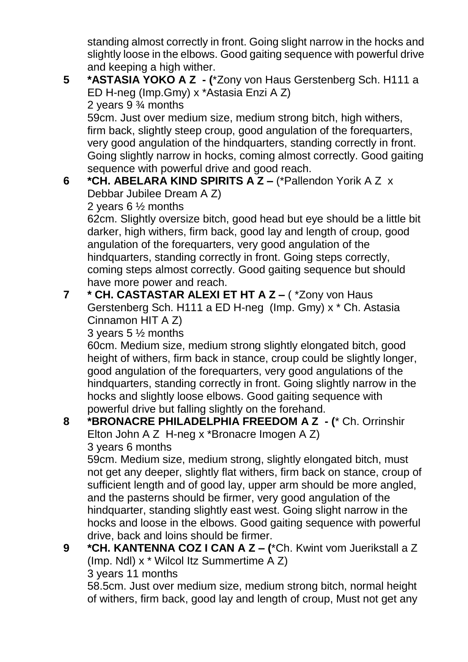standing almost correctly in front. Going slight narrow in the hocks and slightly loose in the elbows. Good gaiting sequence with powerful drive and keeping a high wither.

- **5 \*ASTASIA YOKO A Z - (**\*Zony von Haus Gerstenberg Sch. H111 a ED H-neg (Imp.Gmy) x \*Astasia Enzi A Z) 2 years 9 ¾ months 59cm. Just over medium size, medium strong bitch, high withers, firm back, slightly steep croup, good angulation of the forequarters, very good angulation of the hindquarters, standing correctly in front.
- Going slightly narrow in hocks, coming almost correctly. Good gaiting sequence with powerful drive and good reach. **6 \*CH. ABELARA KIND SPIRITS A Z –** (\*Pallendon Yorik A Z x
	- Debbar Jubilee Dream A Z)

2 years 6 ½ months

62cm. Slightly oversize bitch, good head but eye should be a little bit darker, high withers, firm back, good lay and length of croup, good angulation of the forequarters, very good angulation of the hindquarters, standing correctly in front. Going steps correctly, coming steps almost correctly. Good gaiting sequence but should have more power and reach.

**7 \* CH. CASTASTAR ALEXI ET HT A Z –** ( \*Zony von Haus Gerstenberg Sch. H111 a ED H-neg (Imp. Gmy) x \* Ch. Astasia Cinnamon HIT A Z)

3 years 5 ½ months

60cm. Medium size, medium strong slightly elongated bitch, good height of withers, firm back in stance, croup could be slightly longer, good angulation of the forequarters, very good angulations of the hindquarters, standing correctly in front. Going slightly narrow in the hocks and slightly loose elbows. Good gaiting sequence with powerful drive but falling slightly on the forehand.

## **8 \*BRONACRE PHILADELPHIA FREEDOM A Z - (**\* Ch. Orrinshir Elton John A Z H-neg x \*Bronacre Imogen A Z)

3 years 6 months

59cm. Medium size, medium strong, slightly elongated bitch, must not get any deeper, slightly flat withers, firm back on stance, croup of sufficient length and of good lay, upper arm should be more angled, and the pasterns should be firmer, very good angulation of the hindquarter, standing slightly east west. Going slight narrow in the hocks and loose in the elbows. Good gaiting sequence with powerful drive, back and loins should be firmer.

**9 \*CH. KANTENNA COZ I CAN A Z – (**\*Ch. Kwint vom Juerikstall a Z (Imp. Ndl) x \* Wilcol Itz Summertime A Z) 3 years 11 months

58.5cm. Just over medium size, medium strong bitch, normal height of withers, firm back, good lay and length of croup, Must not get any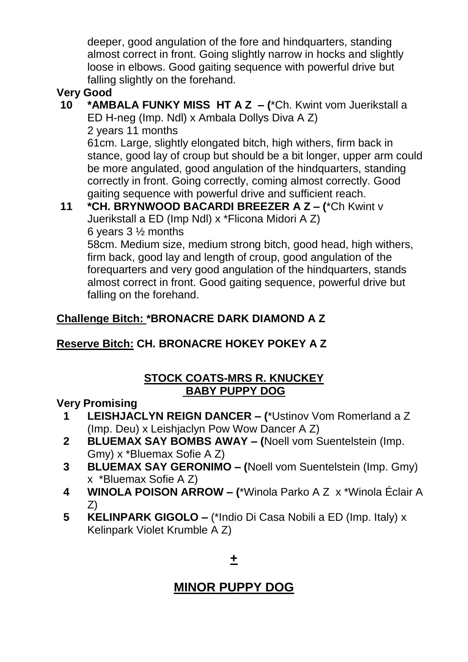deeper, good angulation of the fore and hindquarters, standing almost correct in front. Going slightly narrow in hocks and slightly loose in elbows. Good gaiting sequence with powerful drive but falling slightly on the forehand.

## **Very Good**

**10 \*AMBALA FUNKY MISS HT A Z – (**\*Ch. Kwint vom Juerikstall a ED H-neg (Imp. Ndl) x Ambala Dollys Diva A Z) 2 years 11 months

61cm. Large, slightly elongated bitch, high withers, firm back in stance, good lay of croup but should be a bit longer, upper arm could be more angulated, good angulation of the hindquarters, standing correctly in front. Going correctly, coming almost correctly. Good gaiting sequence with powerful drive and sufficient reach.

## **11 \*CH. BRYNWOOD BACARDI BREEZER A Z – (**\*Ch Kwint v Juerikstall a ED (Imp Ndl) x \*Flicona Midori A Z) 6 years 3 ½ months

58cm. Medium size, medium strong bitch, good head, high withers, firm back, good lay and length of croup, good angulation of the forequarters and very good angulation of the hindquarters, stands almost correct in front. Good gaiting sequence, powerful drive but falling on the forehand.

## **Challenge Bitch: \*BRONACRE DARK DIAMOND A Z**

## **Reserve Bitch: CH. BRONACRE HOKEY POKEY A Z**

## **STOCK COATS-MRS R. KNUCKEY BABY PUPPY DOG**

## **Very Promising**

- **1 LEISHJACLYN REIGN DANCER – (**\*Ustinov Vom Romerland a Z (Imp. Deu) x Leishjaclyn Pow Wow Dancer A Z)
- **2 BLUEMAX SAY BOMBS AWAY – (**Noell vom Suentelstein (Imp. Gmy) x \*Bluemax Sofie A Z)
- **3 BLUEMAX SAY GERONIMO – (**Noell vom Suentelstein (Imp. Gmy) x \*Bluemax Sofie A Z)
- **4 WINOLA POISON ARROW – (**\*Winola Parko A Z x \*Winola Éclair A Z)
- **5 KELINPARK GIGOLO –** (\*Indio Di Casa Nobili a ED (Imp. Italy) x Kelinpark Violet Krumble A Z)

## **+**

# **MINOR PUPPY DOG**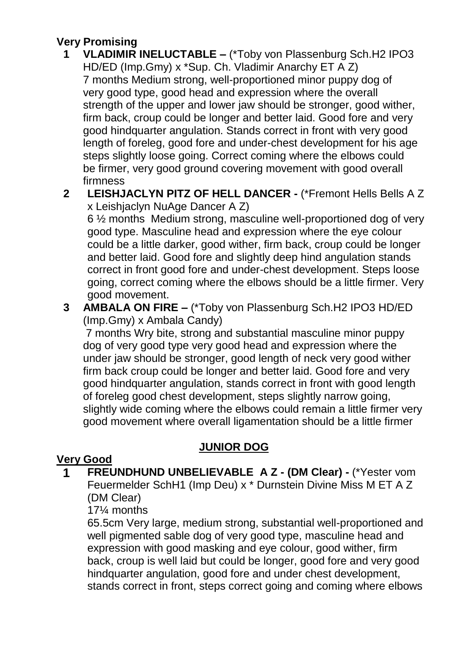### **Very Promising**

- **1 VLADIMIR INELUCTABLE –** (\*Toby von Plassenburg Sch.H2 IPO3 HD/ED (Imp.Gmy) x \*Sup. Ch. Vladimir Anarchy ET A Z) 7 months Medium strong, well-proportioned minor puppy dog of very good type, good head and expression where the overall strength of the upper and lower jaw should be stronger, good wither, firm back, croup could be longer and better laid. Good fore and very good hindquarter angulation. Stands correct in front with very good length of foreleg, good fore and under-chest development for his age steps slightly loose going. Correct coming where the elbows could be firmer, very good ground covering movement with good overall firmness
- **2 LEISHJACLYN PITZ OF HELL DANCER -** (\*Fremont Hells Bells A Z x Leishjaclyn NuAge Dancer A Z)

6 ½ months Medium strong, masculine well-proportioned dog of very good type. Masculine head and expression where the eye colour could be a little darker, good wither, firm back, croup could be longer and better laid. Good fore and slightly deep hind angulation stands correct in front good fore and under-chest development. Steps loose going, correct coming where the elbows should be a little firmer. Very good movement.

**3 AMBALA ON FIRE –** (\*Toby von Plassenburg Sch.H2 IPO3 HD/ED (Imp.Gmy) x Ambala Candy)

 7 months Wry bite, strong and substantial masculine minor puppy dog of very good type very good head and expression where the under jaw should be stronger, good length of neck very good wither firm back croup could be longer and better laid. Good fore and very good hindquarter angulation, stands correct in front with good length of foreleg good chest development, steps slightly narrow going, slightly wide coming where the elbows could remain a little firmer very good movement where overall ligamentation should be a little firmer

## **JUNIOR DOG**

## **Very Good**

**1 FREUNDHUND UNBELIEVABLE A Z - (DM Clear) -** (\*Yester vom Feuermelder SchH1 (Imp Deu) x \* Durnstein Divine Miss M ET A Z (DM Clear)

17¼ months

65.5cm Very large, medium strong, substantial well-proportioned and well pigmented sable dog of very good type, masculine head and expression with good masking and eye colour, good wither, firm back, croup is well laid but could be longer, good fore and very good hindquarter angulation, good fore and under chest development. stands correct in front, steps correct going and coming where elbows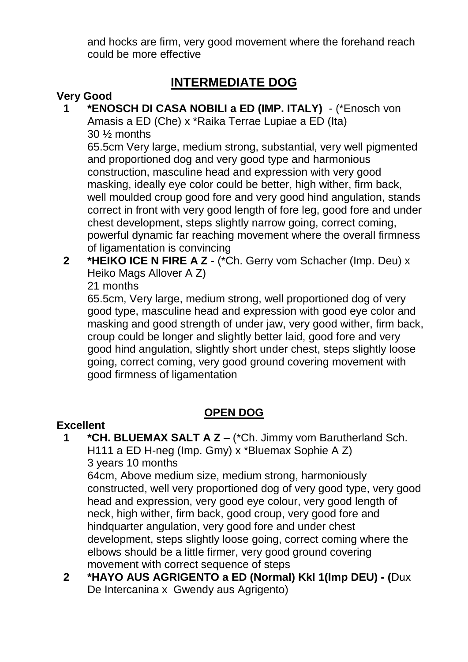and hocks are firm, very good movement where the forehand reach could be more effective

## **INTERMEDIATE DOG**

### **Very Good**

**1 \*ENOSCH DI CASA NOBILI a ED (IMP. ITALY)** - (\*Enosch von Amasis a ED (Che) x \*Raika Terrae Lupiae a ED (Ita) 30 ½ months

65.5cm Very large, medium strong, substantial, very well pigmented and proportioned dog and very good type and harmonious construction, masculine head and expression with very good masking, ideally eye color could be better, high wither, firm back, well moulded croup good fore and very good hind angulation, stands correct in front with very good length of fore leg, good fore and under chest development, steps slightly narrow going, correct coming, powerful dynamic far reaching movement where the overall firmness of ligamentation is convincing

**2 \*HEIKO ICE N FIRE A Z -** (\*Ch. Gerry vom Schacher (Imp. Deu) x Heiko Mags Allover A Z)

21 months

65.5cm, Very large, medium strong, well proportioned dog of very good type, masculine head and expression with good eye color and masking and good strength of under jaw, very good wither, firm back, croup could be longer and slightly better laid, good fore and very good hind angulation, slightly short under chest, steps slightly loose going, correct coming, very good ground covering movement with good firmness of ligamentation

### **OPEN DOG**

### **Excellent**

**1 \*CH. BLUEMAX SALT A Z –** (\*Ch. Jimmy vom Barutherland Sch. H111 a ED H-neg (Imp. Gmy) x \*Bluemax Sophie A Z) 3 years 10 months

64cm, Above medium size, medium strong, harmoniously constructed, well very proportioned dog of very good type, very good head and expression, very good eye colour, very good length of neck, high wither, firm back, good croup, very good fore and hindquarter angulation, very good fore and under chest development, steps slightly loose going, correct coming where the elbows should be a little firmer, very good ground covering movement with correct sequence of steps

**2 \*HAYO AUS AGRIGENTO a ED (Normal) Kkl 1(Imp DEU) - (**Dux De Intercanina x Gwendy aus Agrigento)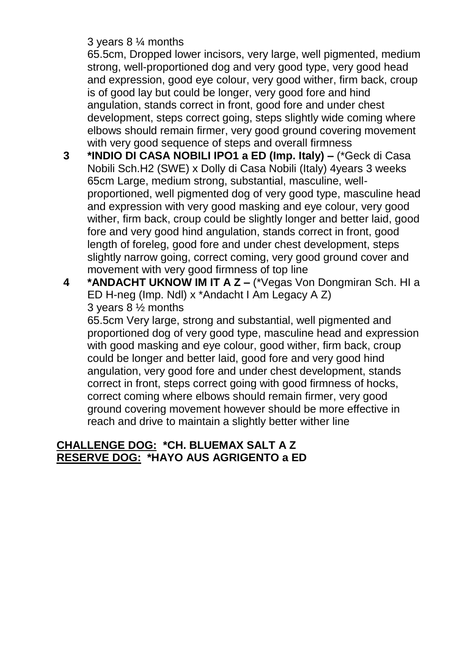### 3 years 8 ¼ months

65.5cm, Dropped lower incisors, very large, well pigmented, medium strong, well-proportioned dog and very good type, very good head and expression, good eye colour, very good wither, firm back, croup is of good lay but could be longer, very good fore and hind angulation, stands correct in front, good fore and under chest development, steps correct going, steps slightly wide coming where elbows should remain firmer, very good ground covering movement with very good sequence of steps and overall firmness

- **3 \*INDIO DI CASA NOBILI IPO1 a ED (Imp. Italy) –** (\*Geck di Casa Nobili Sch.H2 (SWE) x Dolly di Casa Nobili (Italy) 4years 3 weeks 65cm Large, medium strong, substantial, masculine, wellproportioned, well pigmented dog of very good type, masculine head and expression with very good masking and eye colour, very good wither, firm back, croup could be slightly longer and better laid, good fore and very good hind angulation, stands correct in front, good length of foreleg, good fore and under chest development, steps slightly narrow going, correct coming, very good ground cover and movement with very good firmness of top line
- **4 \*ANDACHT UKNOW IM IT A Z –** (\*Vegas Von Dongmiran Sch. HI a ED H-neg (Imp. Ndl) x \*Andacht I Am Legacy A Z) 3 years 8 ½ months

65.5cm Very large, strong and substantial, well pigmented and proportioned dog of very good type, masculine head and expression with good masking and eye colour, good wither, firm back, croup could be longer and better laid, good fore and very good hind angulation, very good fore and under chest development, stands correct in front, steps correct going with good firmness of hocks, correct coming where elbows should remain firmer, very good ground covering movement however should be more effective in reach and drive to maintain a slightly better wither line

### **CHALLENGE DOG: \*CH. BLUEMAX SALT A Z RESERVE DOG: \*HAYO AUS AGRIGENTO a ED**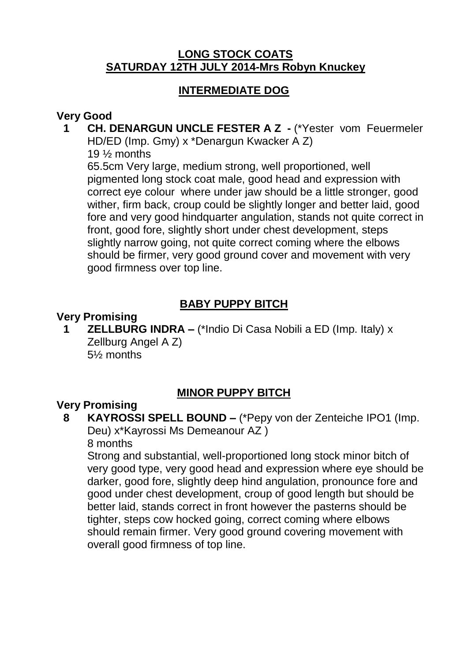### **LONG STOCK COATS SATURDAY 12TH JULY 2014-Mrs Robyn Knuckey**

### **INTERMEDIATE DOG**

### **Very Good**

### **1 CH. DENARGUN UNCLE FESTER A Z -** (\*Yester vom Feuermeler HD/ED (Imp. Gmy) x \*Denargun Kwacker A Z)

19 ½ months

65.5cm Very large, medium strong, well proportioned, well pigmented long stock coat male, good head and expression with correct eye colour where under jaw should be a little stronger, good wither, firm back, croup could be slightly longer and better laid, good fore and very good hindquarter angulation, stands not quite correct in front, good fore, slightly short under chest development, steps slightly narrow going, not quite correct coming where the elbows should be firmer, very good ground cover and movement with very good firmness over top line.

## **BABY PUPPY BITCH**

### **Very Promising**

**1 ZELLBURG INDRA –** (\*Indio Di Casa Nobili a ED (Imp. Italy) x Zellburg Angel A Z) 5½ months

## **MINOR PUPPY BITCH**

### **Very Promising**

## **8 KAYROSSI SPELL BOUND –** (\*Pepy von der Zenteiche IPO1 (Imp. Deu) x\*Kayrossi Ms Demeanour AZ )

8 months

Strong and substantial, well-proportioned long stock minor bitch of very good type, very good head and expression where eye should be darker, good fore, slightly deep hind angulation, pronounce fore and good under chest development, croup of good length but should be better laid, stands correct in front however the pasterns should be tighter, steps cow hocked going, correct coming where elbows should remain firmer. Very good ground covering movement with overall good firmness of top line.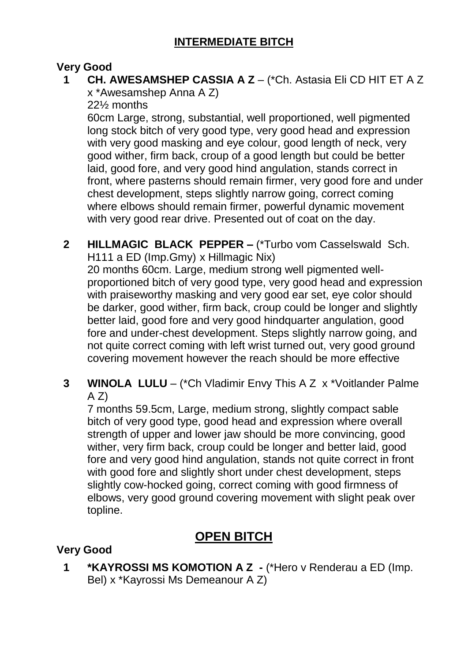### **Very Good**

### **1 CH. AWESAMSHEP CASSIA A Z** – (\*Ch. Astasia Eli CD HIT ET A Z x \*Awesamshep Anna A Z)

22½ months

60cm Large, strong, substantial, well proportioned, well pigmented long stock bitch of very good type, very good head and expression with very good masking and eye colour, good length of neck, very good wither, firm back, croup of a good length but could be better laid, good fore, and very good hind angulation, stands correct in front, where pasterns should remain firmer, very good fore and under chest development, steps slightly narrow going, correct coming where elbows should remain firmer, powerful dynamic movement with very good rear drive. Presented out of coat on the day.

**2 HILLMAGIC BLACK PEPPER –** (\*Turbo vom Casselswald Sch. H111 a ED (Imp.Gmy) x Hillmagic Nix)

20 months 60cm. Large, medium strong well pigmented wellproportioned bitch of very good type, very good head and expression with praiseworthy masking and very good ear set, eye color should be darker, good wither, firm back, croup could be longer and slightly better laid, good fore and very good hindquarter angulation, good fore and under-chest development. Steps slightly narrow going, and not quite correct coming with left wrist turned out, very good ground covering movement however the reach should be more effective

**3 WINOLA LULU** – (\*Ch Vladimir Envy This A Z x \*Voitlander Palme  $(A Z)$ 

7 months 59.5cm, Large, medium strong, slightly compact sable bitch of very good type, good head and expression where overall strength of upper and lower jaw should be more convincing, good wither, very firm back, croup could be longer and better laid, good fore and very good hind angulation, stands not quite correct in front with good fore and slightly short under chest development, steps slightly cow-hocked going, correct coming with good firmness of elbows, very good ground covering movement with slight peak over topline.

## **OPEN BITCH**

### **Very Good**

**1 \*KAYROSSI MS KOMOTION A Z -** (\*Hero v Renderau a ED (Imp. Bel) x \*Kayrossi Ms Demeanour A Z)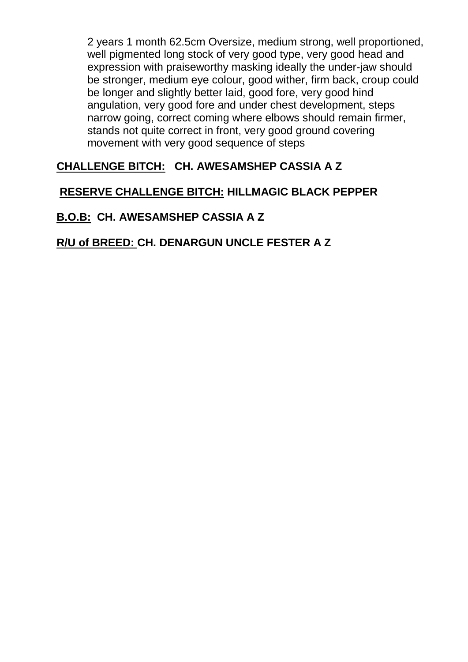2 years 1 month 62.5cm Oversize, medium strong, well proportioned, well pigmented long stock of very good type, very good head and expression with praiseworthy masking ideally the under-jaw should be stronger, medium eye colour, good wither, firm back, croup could be longer and slightly better laid, good fore, very good hind angulation, very good fore and under chest development, steps narrow going, correct coming where elbows should remain firmer, stands not quite correct in front, very good ground covering movement with very good sequence of steps

### **CHALLENGE BITCH: CH. AWESAMSHEP CASSIA A Z**

### **RESERVE CHALLENGE BITCH: HILLMAGIC BLACK PEPPER**

## **B.O.B: CH. AWESAMSHEP CASSIA A Z**

## **R/U of BREED: CH. DENARGUN UNCLE FESTER A Z**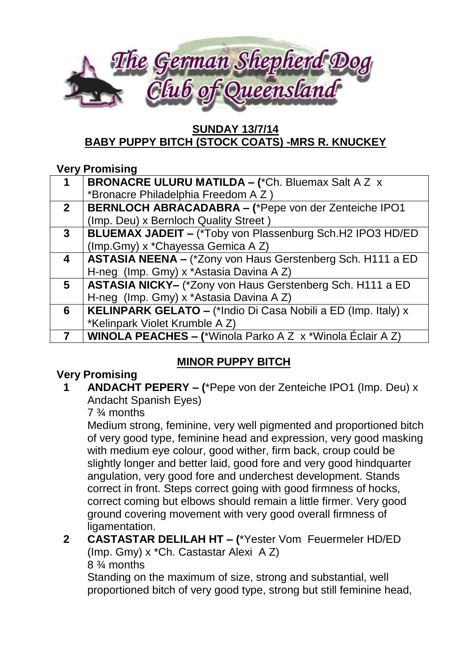

### **SUNDAY 13/7/14 BABY PUPPY BITCH (STOCK COATS) -MRS R. KNUCKEY**

### **Very Promising**

|                         | <b>BRONACRE ULURU MATILDA - (*Ch. Bluemax Salt A Z x</b>             |
|-------------------------|----------------------------------------------------------------------|
|                         | *Bronacre Philadelphia Freedom A Z)                                  |
| 2 <sup>1</sup>          | <b>BERNLOCH ABRACADABRA - (*Pepe von der Zenteiche IPO1</b>          |
|                         | (Imp. Deu) x Bernloch Quality Street)                                |
| $\mathbf{3}$            | <b>BLUEMAX JADEIT - (*Toby von Plassenburg Sch.H2 IPO3 HD/ED)</b>    |
|                         | (Imp.Gmy) x *Chayessa Gemica A Z)                                    |
| $\overline{\mathbf{4}}$ | <b>ASTASIA NEENA - (*Zony von Haus Gerstenberg Sch. H111 a ED</b>    |
|                         | H-neg (Imp. Gmy) x *Astasia Davina A Z)                              |
| $5\overline{)}$         | ASTASIA NICKY- (*Zony von Haus Gerstenberg Sch. H111 a ED            |
|                         | H-neg (Imp. Gmy) x *Astasia Davina A Z)                              |
| 6                       | <b>KELINPARK GELATO – (*Indio Di Casa Nobili a ED (Imp. Italy) x</b> |
|                         | *Kelinpark Violet Krumble A Z)                                       |
|                         | <b>WINOLA PEACHES – (*Winola Parko A Z x *Winola Éclair A Z)</b>     |

## **MINOR PUPPY BITCH**

## **Very Promising**

**1 ANDACHT PEPERY – (**\*Pepe von der Zenteiche IPO1 (Imp. Deu) x Andacht Spanish Eyes)

### 7 ¾ months

Medium strong, feminine, very well pigmented and proportioned bitch of very good type, feminine head and expression, very good masking with medium eye colour, good wither, firm back, croup could be slightly longer and better laid, good fore and very good hindquarter angulation, very good fore and underchest development. Stands correct in front. Steps correct going with good firmness of hocks, correct coming but elbows should remain a little firmer. Very good ground covering movement with very good overall firmness of ligamentation.

### **2 CASTASTAR DELILAH HT – (**\*Yester Vom Feuermeler HD/ED (Imp. Gmy) x \*Ch. Castastar Alexi A Z)

8 ¾ months

Standing on the maximum of size, strong and substantial, well proportioned bitch of very good type, strong but still feminine head,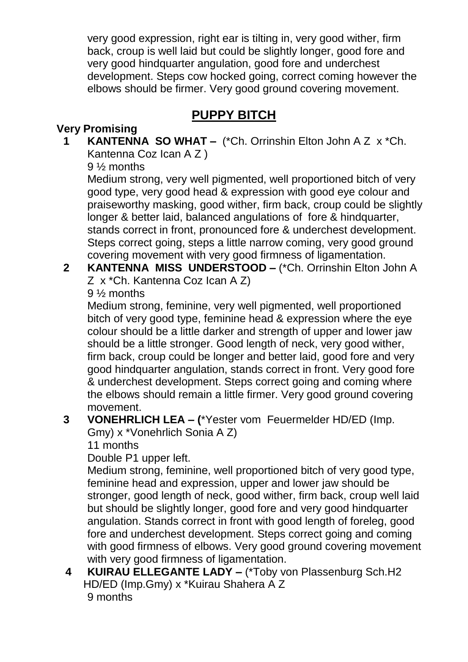very good expression, right ear is tilting in, very good wither, firm back, croup is well laid but could be slightly longer, good fore and very good hindquarter angulation, good fore and underchest development. Steps cow hocked going, correct coming however the elbows should be firmer. Very good ground covering movement.

## **PUPPY BITCH**

### **Very Promising**

**1 KANTENNA SO WHAT –** (\*Ch. Orrinshin Elton John A Z x \*Ch. Kantenna Coz Ican A Z )

9 ½ months

Medium strong, very well pigmented, well proportioned bitch of very good type, very good head & expression with good eye colour and praiseworthy masking, good wither, firm back, croup could be slightly longer & better laid, balanced angulations of fore & hindquarter, stands correct in front, pronounced fore & underchest development. Steps correct going, steps a little narrow coming, very good ground covering movement with very good firmness of ligamentation.

**2 KANTENNA MISS UNDERSTOOD –** (\*Ch. Orrinshin Elton John A Z x \*Ch. Kantenna Coz Ican A Z)

9 ½ months

Medium strong, feminine, very well pigmented, well proportioned bitch of very good type, feminine head & expression where the eye colour should be a little darker and strength of upper and lower jaw should be a little stronger. Good length of neck, very good wither, firm back, croup could be longer and better laid, good fore and very good hindquarter angulation, stands correct in front. Very good fore & underchest development. Steps correct going and coming where the elbows should remain a little firmer. Very good ground covering movement.

**3 VONEHRLICH LEA – (**\*Yester vom Feuermelder HD/ED (Imp. Gmy) x \*Vonehrlich Sonia A Z)

11 months

Double P1 upper left.

Medium strong, feminine, well proportioned bitch of very good type, feminine head and expression, upper and lower jaw should be stronger, good length of neck, good wither, firm back, croup well laid but should be slightly longer, good fore and very good hindquarter angulation. Stands correct in front with good length of foreleg, good fore and underchest development. Steps correct going and coming with good firmness of elbows. Very good ground covering movement with very good firmness of ligamentation.

**4 KUIRAU ELLEGANTE LADY –** (\*Toby von Plassenburg Sch.H2 HD/ED (Imp.Gmy) x \*Kuirau Shahera A Z 9 months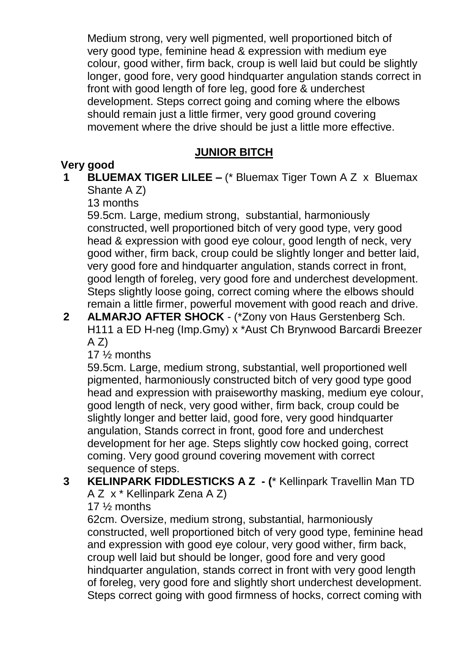Medium strong, very well pigmented, well proportioned bitch of very good type, feminine head & expression with medium eye colour, good wither, firm back, croup is well laid but could be slightly longer, good fore, very good hindquarter angulation stands correct in front with good length of fore leg, good fore & underchest development. Steps correct going and coming where the elbows should remain just a little firmer, very good ground covering movement where the drive should be just a little more effective.

### **JUNIOR BITCH**

### **Very good**

### **1 BLUEMAX TIGER LILEE –** (\* Bluemax Tiger Town A Z x Bluemax Shante A Z)

13 months

59.5cm. Large, medium strong, substantial, harmoniously constructed, well proportioned bitch of very good type, very good head & expression with good eye colour, good length of neck, very good wither, firm back, croup could be slightly longer and better laid, very good fore and hindquarter angulation, stands correct in front, good length of foreleg, very good fore and underchest development. Steps slightly loose going, correct coming where the elbows should remain a little firmer, powerful movement with good reach and drive.

### **2 ALMARJO AFTER SHOCK** - (\*Zony von Haus Gerstenberg Sch. H111 a ED H-neg (Imp.Gmy) x \*Aust Ch Brynwood Barcardi Breezer  $A Z$

17 ½ months

59.5cm. Large, medium strong, substantial, well proportioned well pigmented, harmoniously constructed bitch of very good type good head and expression with praiseworthy masking, medium eye colour, good length of neck, very good wither, firm back, croup could be slightly longer and better laid, good fore, very good hindquarter angulation, Stands correct in front, good fore and underchest development for her age. Steps slightly cow hocked going, correct coming. Very good ground covering movement with correct sequence of steps.

**3 KELINPARK FIDDLESTICKS A Z - (**\* Kellinpark Travellin Man TD A Z x \* Kellinpark Zena A Z)

17 ½ months

62cm. Oversize, medium strong, substantial, harmoniously constructed, well proportioned bitch of very good type, feminine head and expression with good eye colour, very good wither, firm back, croup well laid but should be longer, good fore and very good hindquarter angulation, stands correct in front with very good length of foreleg, very good fore and slightly short underchest development. Steps correct going with good firmness of hocks, correct coming with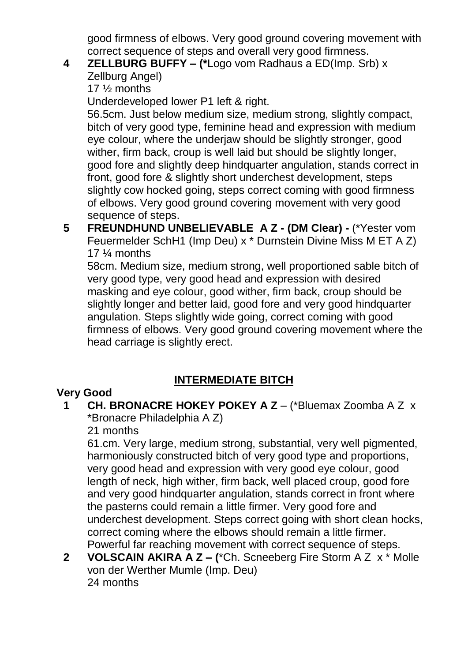good firmness of elbows. Very good ground covering movement with correct sequence of steps and overall very good firmness.

## **4 ZELLBURG BUFFY – (\***Logo vom Radhaus a ED(Imp. Srb) x

Zellburg Angel)

17 ½ months

Underdeveloped lower P1 left & right.

56.5cm. Just below medium size, medium strong, slightly compact, bitch of very good type, feminine head and expression with medium eye colour, where the underjaw should be slightly stronger, good wither, firm back, croup is well laid but should be slightly longer, good fore and slightly deep hindquarter angulation, stands correct in front, good fore & slightly short underchest development, steps slightly cow hocked going, steps correct coming with good firmness of elbows. Very good ground covering movement with very good sequence of steps.

**5 FREUNDHUND UNBELIEVABLE A Z - (DM Clear) -** (\*Yester vom Feuermelder SchH1 (Imp Deu) x \* Durnstein Divine Miss M ET A Z) 17 ¼ months

58cm. Medium size, medium strong, well proportioned sable bitch of very good type, very good head and expression with desired masking and eye colour, good wither, firm back, croup should be slightly longer and better laid, good fore and very good hindquarter angulation. Steps slightly wide going, correct coming with good firmness of elbows. Very good ground covering movement where the head carriage is slightly erect.

## **INTERMEDIATE BITCH**

## **Very Good**

**1 CH. BRONACRE HOKEY POKEY A Z** – (\*Bluemax Zoomba A Z x \*Bronacre Philadelphia A Z)

21 months

61.cm. Very large, medium strong, substantial, very well pigmented, harmoniously constructed bitch of very good type and proportions, very good head and expression with very good eye colour, good length of neck, high wither, firm back, well placed croup, good fore and very good hindquarter angulation, stands correct in front where the pasterns could remain a little firmer. Very good fore and underchest development. Steps correct going with short clean hocks, correct coming where the elbows should remain a little firmer. Powerful far reaching movement with correct sequence of steps.

**2 VOLSCAIN AKIRA A Z – (**\*Ch. Scneeberg Fire Storm A Z x \* Molle von der Werther Mumle (Imp. Deu) 24 months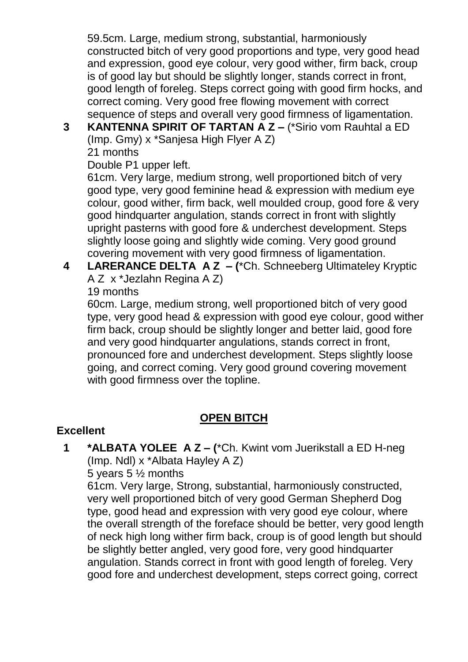59.5cm. Large, medium strong, substantial, harmoniously constructed bitch of very good proportions and type, very good head and expression, good eye colour, very good wither, firm back, croup is of good lay but should be slightly longer, stands correct in front, good length of foreleg. Steps correct going with good firm hocks, and correct coming. Very good free flowing movement with correct sequence of steps and overall very good firmness of ligamentation.

**3 KANTENNA SPIRIT OF TARTAN A Z –** (\*Sirio vom Rauhtal a ED (Imp. Gmy) x \*Sanjesa High Flyer A Z) 21 months

Double P1 upper left.

61cm. Very large, medium strong, well proportioned bitch of very good type, very good feminine head & expression with medium eye colour, good wither, firm back, well moulded croup, good fore & very good hindquarter angulation, stands correct in front with slightly upright pasterns with good fore & underchest development. Steps slightly loose going and slightly wide coming. Very good ground covering movement with very good firmness of ligamentation.

- **4 LARERANCE DELTA A Z – (**\*Ch. Schneeberg Ultimateley Kryptic A Z x \*Jezlahn Regina A Z)
	- 19 months

60cm. Large, medium strong, well proportioned bitch of very good type, very good head & expression with good eye colour, good wither firm back, croup should be slightly longer and better laid, good fore and very good hindquarter angulations, stands correct in front, pronounced fore and underchest development. Steps slightly loose going, and correct coming. Very good ground covering movement with good firmness over the topline.

### **OPEN BITCH**

### **Excellent**

**1 \*ALBATA YOLEE A Z – (**\*Ch. Kwint vom Juerikstall a ED H-neg (Imp. Ndl) x \*Albata Hayley A Z)

5 years 5 ½ months

61cm. Very large, Strong, substantial, harmoniously constructed, very well proportioned bitch of very good German Shepherd Dog type, good head and expression with very good eye colour, where the overall strength of the foreface should be better, very good length of neck high long wither firm back, croup is of good length but should be slightly better angled, very good fore, very good hindquarter angulation. Stands correct in front with good length of foreleg. Very good fore and underchest development, steps correct going, correct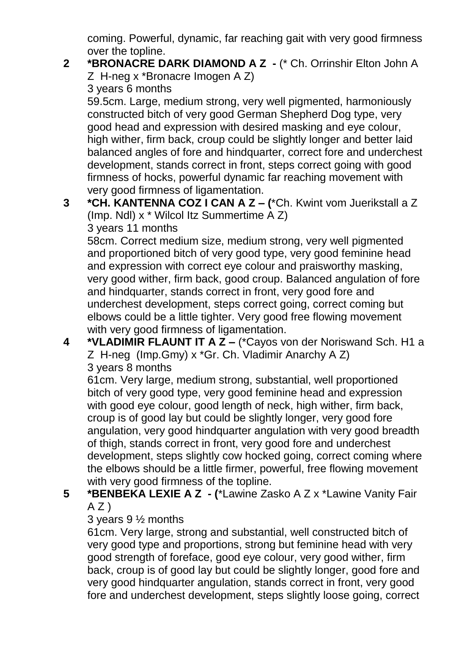coming. Powerful, dynamic, far reaching gait with very good firmness over the topline.

### **2 \*BRONACRE DARK DIAMOND A Z -** (\* Ch. Orrinshir Elton John A Z H-neg x \*Bronacre Imogen A Z)

3 years 6 months

59.5cm. Large, medium strong, very well pigmented, harmoniously constructed bitch of very good German Shepherd Dog type, very good head and expression with desired masking and eye colour, high wither, firm back, croup could be slightly longer and better laid balanced angles of fore and hindquarter, correct fore and underchest development, stands correct in front, steps correct going with good firmness of hocks, powerful dynamic far reaching movement with very good firmness of ligamentation.

**3 \*CH. KANTENNA COZ I CAN A Z – (**\*Ch. Kwint vom Juerikstall a Z (Imp. Ndl) x \* Wilcol Itz Summertime A Z)

3 years 11 months

58cm. Correct medium size, medium strong, very well pigmented and proportioned bitch of very good type, very good feminine head and expression with correct eye colour and praisworthy masking, very good wither, firm back, good croup. Balanced angulation of fore and hindquarter, stands correct in front, very good fore and underchest development, steps correct going, correct coming but elbows could be a little tighter. Very good free flowing movement with very good firmness of ligamentation.

**4 \*VLADIMIR FLAUNT IT A Z –** (\*Cayos von der Noriswand Sch. H1 a Z H-neg (Imp.Gmy) x \*Gr. Ch. Vladimir Anarchy A Z) 3 years 8 months

61cm. Very large, medium strong, substantial, well proportioned bitch of very good type, very good feminine head and expression with good eye colour, good length of neck, high wither, firm back, croup is of good lay but could be slightly longer, very good fore angulation, very good hindquarter angulation with very good breadth of thigh, stands correct in front, very good fore and underchest development, steps slightly cow hocked going, correct coming where the elbows should be a little firmer, powerful, free flowing movement with very good firmness of the topline.

**5 \*BENBEKA LEXIE A Z - (**\*Lawine Zasko A Z x \*Lawine Vanity Fair  $A Z$ )

3 years 9 ½ months

61cm. Very large, strong and substantial, well constructed bitch of very good type and proportions, strong but feminine head with very good strength of foreface, good eye colour, very good wither, firm back, croup is of good lay but could be slightly longer, good fore and very good hindquarter angulation, stands correct in front, very good fore and underchest development, steps slightly loose going, correct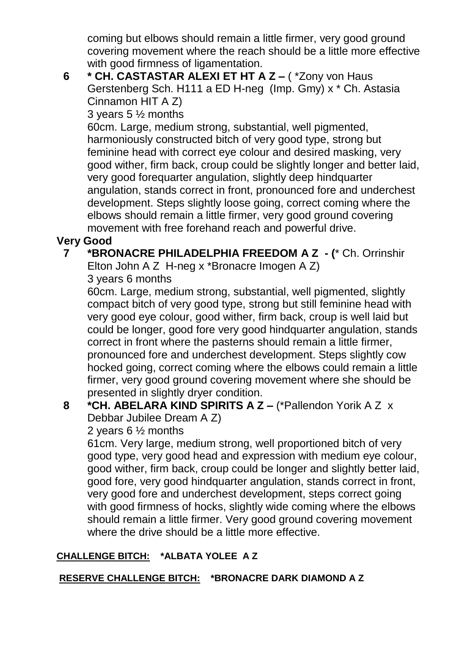coming but elbows should remain a little firmer, very good ground covering movement where the reach should be a little more effective with good firmness of ligamentation.

**6 \* CH. CASTASTAR ALEXI ET HT A Z –** ( \*Zony von Haus Gerstenberg Sch. H111 a ED H-neg (Imp. Gmy) x \* Ch. Astasia Cinnamon HIT A Z)

3 years 5 ½ months

60cm. Large, medium strong, substantial, well pigmented, harmoniously constructed bitch of very good type, strong but feminine head with correct eye colour and desired masking, very good wither, firm back, croup could be slightly longer and better laid, very good forequarter angulation, slightly deep hindquarter angulation, stands correct in front, pronounced fore and underchest development. Steps slightly loose going, correct coming where the elbows should remain a little firmer, very good ground covering movement with free forehand reach and powerful drive.

## **Very Good**

### **7 \*BRONACRE PHILADELPHIA FREEDOM A Z - (**\* Ch. Orrinshir Elton John A Z H-neg x \*Bronacre Imogen A Z)

3 years 6 months

60cm. Large, medium strong, substantial, well pigmented, slightly compact bitch of very good type, strong but still feminine head with very good eye colour, good wither, firm back, croup is well laid but could be longer, good fore very good hindquarter angulation, stands correct in front where the pasterns should remain a little firmer, pronounced fore and underchest development. Steps slightly cow hocked going, correct coming where the elbows could remain a little firmer, very good ground covering movement where she should be presented in slightly dryer condition.

### **8 \*CH. ABELARA KIND SPIRITS A Z –** (\*Pallendon Yorik A Z x Debbar Jubilee Dream A Z)

2 years 6 ½ months

61cm. Very large, medium strong, well proportioned bitch of very good type, very good head and expression with medium eye colour, good wither, firm back, croup could be longer and slightly better laid, good fore, very good hindquarter angulation, stands correct in front, very good fore and underchest development, steps correct going with good firmness of hocks, slightly wide coming where the elbows should remain a little firmer. Very good ground covering movement where the drive should be a little more effective.

## **CHALLENGE BITCH: \*ALBATA YOLEE A Z**

### **RESERVE CHALLENGE BITCH: \*BRONACRE DARK DIAMOND A Z**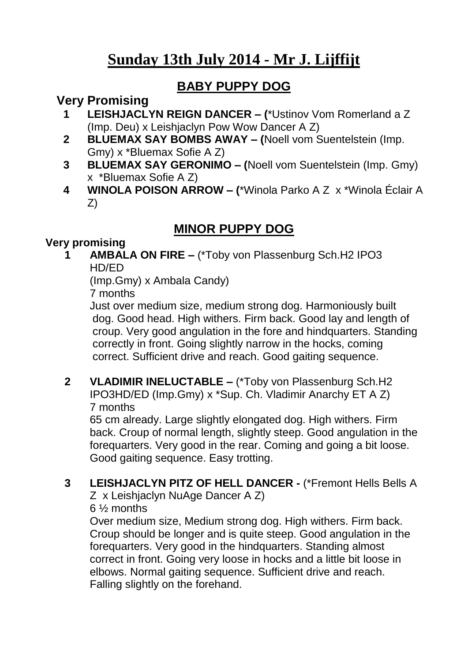# **Sunday 13th July 2014 - Mr J. Lijffijt**

## **BABY PUPPY DOG**

## **Very Promising**

- **1 LEISHJACLYN REIGN DANCER – (**\*Ustinov Vom Romerland a Z (Imp. Deu) x Leishjaclyn Pow Wow Dancer A Z)
- **2 BLUEMAX SAY BOMBS AWAY – (**Noell vom Suentelstein (Imp. Gmy) x \*Bluemax Sofie A Z)
- **3 BLUEMAX SAY GERONIMO – (**Noell vom Suentelstein (Imp. Gmy) x \*Bluemax Sofie A Z)
- **4 WINOLA POISON ARROW – (**\*Winola Parko A Z x \*Winola Éclair A Z)

## **MINOR PUPPY DOG**

### **Very promising**

**1 AMBALA ON FIRE –** (\*Toby von Plassenburg Sch.H2 IPO3 HD/ED

(Imp.Gmy) x Ambala Candy)

7 months

Just over medium size, medium strong dog. Harmoniously built dog. Good head. High withers. Firm back. Good lay and length of croup. Very good angulation in the fore and hindquarters. Standing correctly in front. Going slightly narrow in the hocks, coming correct. Sufficient drive and reach. Good gaiting sequence.

**2 VLADIMIR INELUCTABLE –** (\*Toby von Plassenburg Sch.H2 IPO3HD/ED (Imp.Gmy) x \*Sup. Ch. Vladimir Anarchy ET A Z) 7 months

65 cm already. Large slightly elongated dog. High withers. Firm back. Croup of normal length, slightly steep. Good angulation in the forequarters. Very good in the rear. Coming and going a bit loose. Good gaiting sequence. Easy trotting.

**3 LEISHJACLYN PITZ OF HELL DANCER -** (\*Fremont Hells Bells A Z x Leishjaclyn NuAge Dancer A Z) 6 ½ months

Over medium size, Medium strong dog. High withers. Firm back. Croup should be longer and is quite steep. Good angulation in the forequarters. Very good in the hindquarters. Standing almost correct in front. Going very loose in hocks and a little bit loose in elbows. Normal gaiting sequence. Sufficient drive and reach. Falling slightly on the forehand.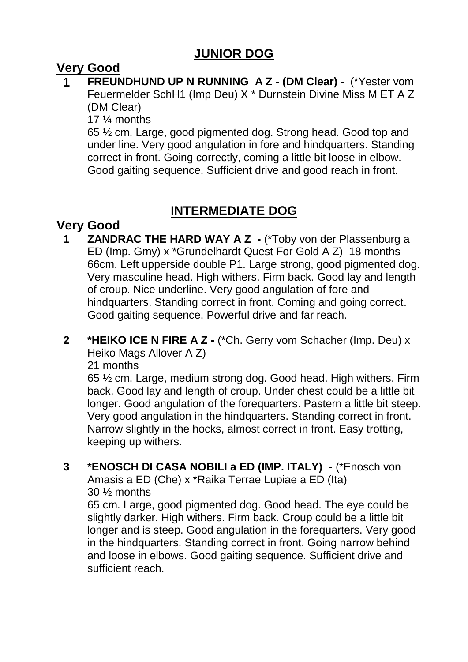## **JUNIOR DOG**

## **Very Good**

**1 FREUNDHUND UP N RUNNING A Z - (DM Clear) -** (\*Yester vom Feuermelder SchH1 (Imp Deu) X \* Durnstein Divine Miss M ET A Z (DM Clear)

17 ¼ months

65 ½ cm. Large, good pigmented dog. Strong head. Good top and under line. Very good angulation in fore and hindquarters. Standing correct in front. Going correctly, coming a little bit loose in elbow. Good gaiting sequence. Sufficient drive and good reach in front.

## **INTERMEDIATE DOG**

## **Very Good**

- **1 ZANDRAC THE HARD WAY A Z -** (\*Toby von der Plassenburg a ED (Imp. Gmy) x \*Grundelhardt Quest For Gold A Z) 18 months 66cm. Left upperside double P1. Large strong, good pigmented dog. Very masculine head. High withers. Firm back. Good lay and length of croup. Nice underline. Very good angulation of fore and hindquarters. Standing correct in front. Coming and going correct. Good gaiting sequence. Powerful drive and far reach.
- **2 \*HEIKO ICE N FIRE A Z -** (\*Ch. Gerry vom Schacher (Imp. Deu) x Heiko Mags Allover A Z)

21 months

65 ½ cm. Large, medium strong dog. Good head. High withers. Firm back. Good lay and length of croup. Under chest could be a little bit longer. Good angulation of the forequarters. Pastern a little bit steep. Very good angulation in the hindquarters. Standing correct in front. Narrow slightly in the hocks, almost correct in front. Easy trotting, keeping up withers.

**3 \*ENOSCH DI CASA NOBILI a ED (IMP. ITALY)** - (\*Enosch von Amasis a ED (Che) x \*Raika Terrae Lupiae a ED (Ita) 30 ½ months 65 cm. Large, good pigmented dog. Good head. The eye could be slightly darker. High withers. Firm back. Croup could be a little bit

longer and is steep. Good angulation in the forequarters. Very good in the hindquarters. Standing correct in front. Going narrow behind and loose in elbows. Good gaiting sequence. Sufficient drive and sufficient reach.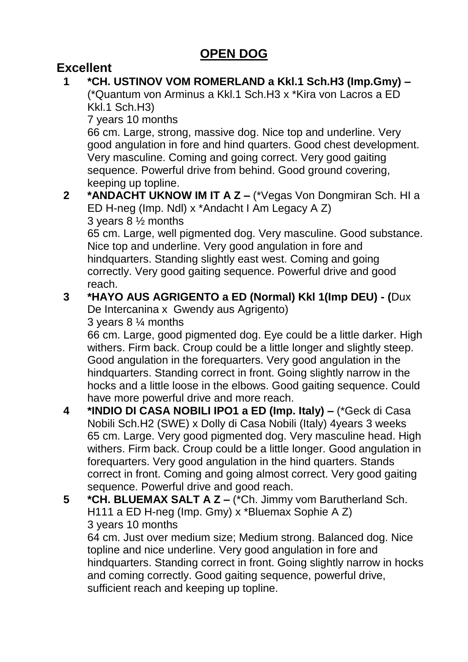## **OPEN DOG**

## **Excellent**

**1 \*CH. USTINOV VOM ROMERLAND a Kkl.1 Sch.H3 (Imp.Gmy) –** (\*Quantum von Arminus a Kkl.1 Sch.H3 x \*Kira von Lacros a ED Kkl.1 Sch.H3)

7 years 10 months

66 cm. Large, strong, massive dog. Nice top and underline. Very good angulation in fore and hind quarters. Good chest development. Very masculine. Coming and going correct. Very good gaiting sequence. Powerful drive from behind. Good ground covering, keeping up topline.

### **2 \*ANDACHT UKNOW IM IT A Z –** (\*Vegas Von Dongmiran Sch. HI a ED H-neg (Imp. Ndl) x \*Andacht I Am Legacy A Z) 3 years 8 ½ months

65 cm. Large, well pigmented dog. Very masculine. Good substance. Nice top and underline. Very good angulation in fore and hindquarters. Standing slightly east west. Coming and going correctly. Very good gaiting sequence. Powerful drive and good reach.

## **3 \*HAYO AUS AGRIGENTO a ED (Normal) Kkl 1(Imp DEU) - (**Dux

De Intercanina x Gwendy aus Agrigento)

3 years 8 ¼ months

66 cm. Large, good pigmented dog. Eye could be a little darker. High withers. Firm back. Croup could be a little longer and slightly steep. Good angulation in the forequarters. Very good angulation in the hindquarters. Standing correct in front. Going slightly narrow in the hocks and a little loose in the elbows. Good gaiting sequence. Could have more powerful drive and more reach.

- **4 \*INDIO DI CASA NOBILI IPO1 a ED (Imp. Italy) –** (\*Geck di Casa Nobili Sch.H2 (SWE) x Dolly di Casa Nobili (Italy) 4years 3 weeks 65 cm. Large. Very good pigmented dog. Very masculine head. High withers. Firm back. Croup could be a little longer. Good angulation in forequarters. Very good angulation in the hind quarters. Stands correct in front. Coming and going almost correct. Very good gaiting sequence. Powerful drive and good reach.
- **5 \*CH. BLUEMAX SALT A Z –** (\*Ch. Jimmy vom Barutherland Sch. H111 a ED H-neg (Imp. Gmy) x \*Bluemax Sophie A Z) 3 years 10 months

64 cm. Just over medium size; Medium strong. Balanced dog. Nice topline and nice underline. Very good angulation in fore and hindquarters. Standing correct in front. Going slightly narrow in hocks and coming correctly. Good gaiting sequence, powerful drive, sufficient reach and keeping up topline.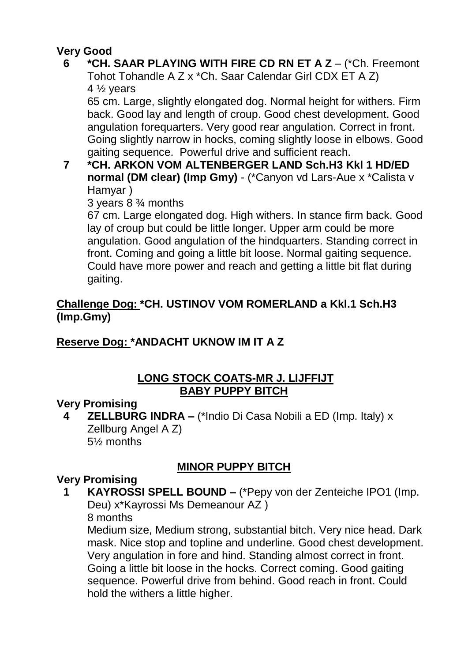## **Very Good**

### **6 \*CH. SAAR PLAYING WITH FIRE CD RN ET A Z** – (\*Ch. Freemont Tohot Tohandle A Z x \*Ch. Saar Calendar Girl CDX ET A Z) 4  $\frac{1}{2}$  years

65 cm. Large, slightly elongated dog. Normal height for withers. Firm back. Good lay and length of croup. Good chest development. Good angulation forequarters. Very good rear angulation. Correct in front. Going slightly narrow in hocks, coming slightly loose in elbows. Good gaiting sequence. Powerful drive and sufficient reach.

### **7 \*CH. ARKON VOM ALTENBERGER LAND Sch.H3 Kkl 1 HD/ED normal (DM clear) (Imp Gmy)** - (\*Canyon vd Lars-Aue x \*Calista v Hamyar )

3 years 8 ¾ months

67 cm. Large elongated dog. High withers. In stance firm back. Good lay of croup but could be little longer. Upper arm could be more angulation. Good angulation of the hindquarters. Standing correct in front. Coming and going a little bit loose. Normal gaiting sequence. Could have more power and reach and getting a little bit flat during gaiting.

### **Challenge Dog: \*CH. USTINOV VOM ROMERLAND a Kkl.1 Sch.H3 (Imp.Gmy)**

## **Reserve Dog: \*ANDACHT UKNOW IM IT A Z**

### **LONG STOCK COATS-MR J. LIJFFIJT BABY PUPPY BITCH**

## **Very Promising**

**4 ZELLBURG INDRA –** (\*Indio Di Casa Nobili a ED (Imp. Italy) x Zellburg Angel A Z) 5½ months

## **MINOR PUPPY BITCH**

## **Very Promising**

**1 KAYROSSI SPELL BOUND –** (\*Pepy von der Zenteiche IPO1 (Imp. Deu) x\*Kayrossi Ms Demeanour AZ )

8 months

Medium size, Medium strong, substantial bitch. Very nice head. Dark mask. Nice stop and topline and underline. Good chest development. Very angulation in fore and hind. Standing almost correct in front. Going a little bit loose in the hocks. Correct coming. Good gaiting sequence. Powerful drive from behind. Good reach in front. Could hold the withers a little higher.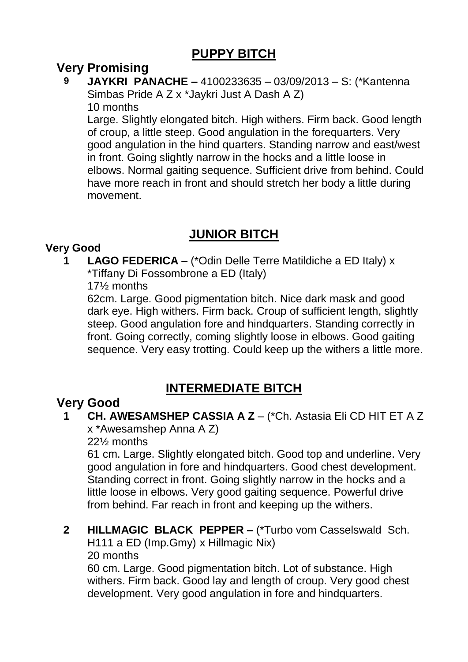## **PUPPY BITCH**

## **Very Promising**

**9 JAYKRI PANACHE –** 4100233635 – 03/09/2013 – S: (\*Kantenna Simbas Pride A Z x \*Jaykri Just A Dash A Z) 10 months

Large. Slightly elongated bitch. High withers. Firm back. Good length of croup, a little steep. Good angulation in the forequarters. Very good angulation in the hind quarters. Standing narrow and east/west in front. Going slightly narrow in the hocks and a little loose in elbows. Normal gaiting sequence. Sufficient drive from behind. Could have more reach in front and should stretch her body a little during movement.

## **JUNIOR BITCH**

### **Very Good**

**1 LAGO FEDERICA –** (\*Odin Delle Terre Matildiche a ED Italy) x \*Tiffany Di Fossombrone a ED (Italy)

17½ months

62cm. Large. Good pigmentation bitch. Nice dark mask and good dark eye. High withers. Firm back. Croup of sufficient length, slightly steep. Good angulation fore and hindquarters. Standing correctly in front. Going correctly, coming slightly loose in elbows. Good gaiting sequence. Very easy trotting. Could keep up the withers a little more.

## **INTERMEDIATE BITCH**

## **Very Good**

**1 CH. AWESAMSHEP CASSIA A Z** – (\*Ch. Astasia Eli CD HIT ET A Z x \*Awesamshep Anna A Z)

22½ months

61 cm. Large. Slightly elongated bitch. Good top and underline. Very good angulation in fore and hindquarters. Good chest development. Standing correct in front. Going slightly narrow in the hocks and a little loose in elbows. Very good gaiting sequence. Powerful drive from behind. Far reach in front and keeping up the withers.

# **2 HILLMAGIC BLACK PEPPER –** (\*Turbo vom Casselswald Sch.

H111 a ED (Imp.Gmy) x Hillmagic Nix)

20 months

60 cm. Large. Good pigmentation bitch. Lot of substance. High withers. Firm back. Good lay and length of croup. Very good chest development. Very good angulation in fore and hindquarters.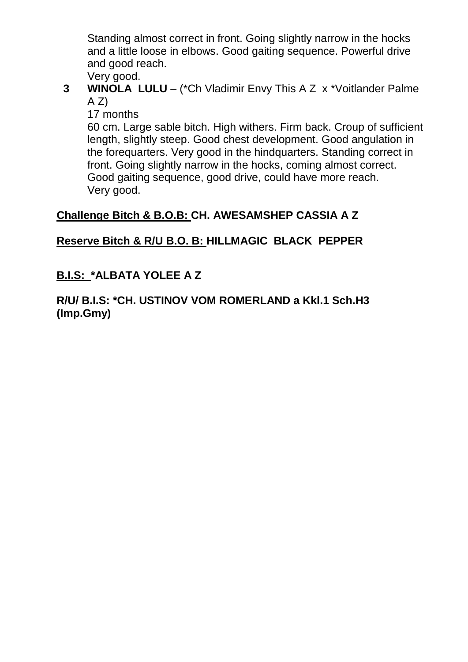Standing almost correct in front. Going slightly narrow in the hocks and a little loose in elbows. Good gaiting sequence. Powerful drive and good reach.

Very good. **3 WINOLA LULU** – (\*Ch Vladimir Envy This A Z x \*Voitlander Palme  $A Z$ 

17 months

60 cm. Large sable bitch. High withers. Firm back. Croup of sufficient length, slightly steep. Good chest development. Good angulation in the forequarters. Very good in the hindquarters. Standing correct in front. Going slightly narrow in the hocks, coming almost correct. Good gaiting sequence, good drive, could have more reach. Very good.

### **Challenge Bitch & B.O.B: CH. AWESAMSHEP CASSIA A Z**

### **Reserve Bitch & R/U B.O. B: HILLMAGIC BLACK PEPPER**

### **B.I.S: \*ALBATA YOLEE A Z**

**R/U/ B.I.S: \*CH. USTINOV VOM ROMERLAND a Kkl.1 Sch.H3 (Imp.Gmy)**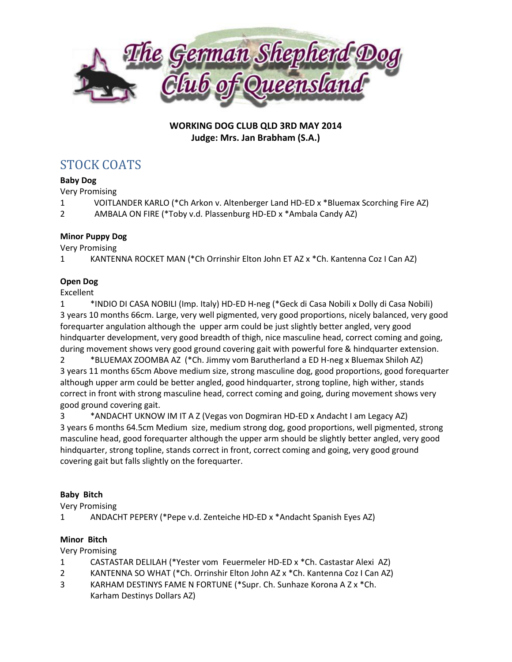

**WORKING DOG CLUB QLD 3RD MAY 2014 Judge: Mrs. Jan Brabham (S.A.)**

## STOCK COATS

#### **Baby Dog**

Very Promising

- 1 VOITLANDER KARLO (\*Ch Arkon v. Altenberger Land HD-ED x \*Bluemax Scorching Fire AZ)
- 2 AMBALA ON FIRE (\*Toby v.d. Plassenburg HD-ED x \*Ambala Candy AZ)

#### **Minor Puppy Dog**

Very Promising

1 KANTENNA ROCKET MAN (\*Ch Orrinshir Elton John ET AZ x \*Ch. Kantenna Coz I Can AZ)

### **Open Dog**

Excellent

1 \*INDIO DI CASA NOBILI (Imp. Italy) HD-ED H-neg (\*Geck di Casa Nobili x Dolly di Casa Nobili) 3 years 10 months 66cm. Large, very well pigmented, very good proportions, nicely balanced, very good forequarter angulation although the upper arm could be just slightly better angled, very good hindquarter development, very good breadth of thigh, nice masculine head, correct coming and going, during movement shows very good ground covering gait with powerful fore & hindquarter extension.

2 \*BLUEMAX ZOOMBA AZ (\*Ch. Jimmy vom Barutherland a ED H-neg x Bluemax Shiloh AZ) 3 years 11 months 65cm Above medium size, strong masculine dog, good proportions, good forequarter although upper arm could be better angled, good hindquarter, strong topline, high wither, stands correct in front with strong masculine head, correct coming and going, during movement shows very good ground covering gait.

3 \*ANDACHT UKNOW IM IT A Z (Vegas von Dogmiran HD-ED x Andacht I am Legacy AZ) 3 years 6 months 64.5cm Medium size, medium strong dog, good proportions, well pigmented, strong masculine head, good forequarter although the upper arm should be slightly better angled, very good hindquarter, strong topline, stands correct in front, correct coming and going, very good ground covering gait but falls slightly on the forequarter.

#### **Baby Bitch**

Very Promising

1 ANDACHT PEPERY (\*Pepe v.d. Zenteiche HD-ED x \*Andacht Spanish Eyes AZ)

#### **Minor Bitch**

Very Promising

- 1 CASTASTAR DELILAH (\*Yester vom Feuermeler HD-ED x \*Ch. Castastar Alexi AZ)
- 2 KANTENNA SO WHAT (\*Ch. Orrinshir Elton John AZ x \*Ch. Kantenna Coz I Can AZ)
- 3 KARHAM DESTINYS FAME N FORTUNE (\*Supr. Ch. Sunhaze Korona A Z x \*Ch. Karham Destinys Dollars AZ)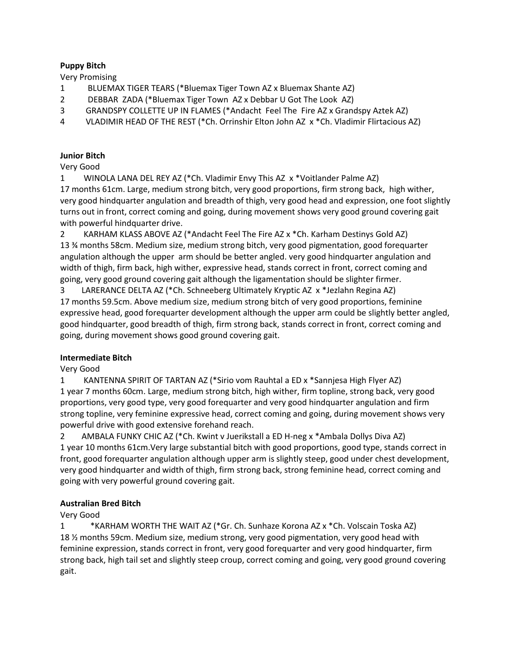#### **Puppy Bitch**

Very Promising

- 1 BLUEMAX TIGER TEARS (\*Bluemax Tiger Town AZ x Bluemax Shante AZ)
- 2 DEBBAR ZADA (\*Bluemax Tiger Town AZ x Debbar U Got The Look AZ)
- 3 GRANDSPY COLLETTE UP IN FLAMES (\*Andacht Feel The Fire AZ x Grandspy Aztek AZ)
- 4 VLADIMIR HEAD OF THE REST (\*Ch. Orrinshir Elton John AZ x \*Ch. Vladimir Flirtacious AZ)

#### **Junior Bitch**

Very Good

1 WINOLA LANA DEL REY AZ (\*Ch. Vladimir Envy This AZ x \*Voitlander Palme AZ)

17 months 61cm. Large, medium strong bitch, very good proportions, firm strong back, high wither, very good hindquarter angulation and breadth of thigh, very good head and expression, one foot slightly turns out in front, correct coming and going, during movement shows very good ground covering gait with powerful hindquarter drive.

2 KARHAM KLASS ABOVE AZ (\*Andacht Feel The Fire AZ x \*Ch. Karham Destinys Gold AZ) 13 ¾ months 58cm. Medium size, medium strong bitch, very good pigmentation, good forequarter angulation although the upper arm should be better angled. very good hindquarter angulation and width of thigh, firm back, high wither, expressive head, stands correct in front, correct coming and going, very good ground covering gait although the ligamentation should be slighter firmer.

3 LARERANCE DELTA AZ (\*Ch. Schneeberg Ultimately Kryptic AZ x \*Jezlahn Regina AZ) 17 months 59.5cm. Above medium size, medium strong bitch of very good proportions, feminine expressive head, good forequarter development although the upper arm could be slightly better angled, good hindquarter, good breadth of thigh, firm strong back, stands correct in front, correct coming and going, during movement shows good ground covering gait.

#### **Intermediate Bitch**

Very Good

1 KANTENNA SPIRIT OF TARTAN AZ (\*Sirio vom Rauhtal a ED x \*Sannjesa High Flyer AZ) 1 year 7 months 60cm. Large, medium strong bitch, high wither, firm topline, strong back, very good proportions, very good type, very good forequarter and very good hindquarter angulation and firm strong topline, very feminine expressive head, correct coming and going, during movement shows very powerful drive with good extensive forehand reach.

2 AMBALA FUNKY CHIC AZ (\*Ch. Kwint v Juerikstall a ED H-neg x \*Ambala Dollys Diva AZ) 1 year 10 months 61cm.Very large substantial bitch with good proportions, good type, stands correct in front, good forequarter angulation although upper arm is slightly steep, good under chest development, very good hindquarter and width of thigh, firm strong back, strong feminine head, correct coming and going with very powerful ground covering gait.

#### **Australian Bred Bitch**

Very Good

1 \*KARHAM WORTH THE WAIT AZ (\*Gr. Ch. Sunhaze Korona AZ x \*Ch. Volscain Toska AZ) 18 ½ months 59cm. Medium size, medium strong, very good pigmentation, very good head with feminine expression, stands correct in front, very good forequarter and very good hindquarter, firm strong back, high tail set and slightly steep croup, correct coming and going, very good ground covering gait.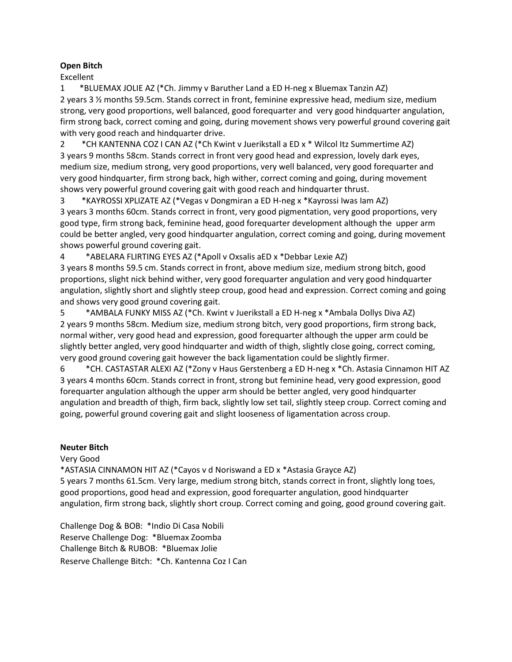#### **Open Bitch**

Excellent

1 \*BLUEMAX JOLIE AZ (\*Ch. Jimmy v Baruther Land a ED H-neg x Bluemax Tanzin AZ) 2 years 3 ½ months 59.5cm. Stands correct in front, feminine expressive head, medium size, medium strong, very good proportions, well balanced, good forequarter and very good hindquarter angulation, firm strong back, correct coming and going, during movement shows very powerful ground covering gait with very good reach and hindquarter drive.

2 \*CH KANTENNA COZ I CAN AZ (\*Ch Kwint v Juerikstall a ED x \* Wilcol Itz Summertime AZ) 3 years 9 months 58cm. Stands correct in front very good head and expression, lovely dark eyes, medium size, medium strong, very good proportions, very well balanced, very good forequarter and very good hindquarter, firm strong back, high wither, correct coming and going, during movement shows very powerful ground covering gait with good reach and hindquarter thrust.

3 \*KAYROSSI XPLIZATE AZ (\*Vegas v Dongmiran a ED H-neg x \*Kayrossi Iwas Iam AZ) 3 years 3 months 60cm. Stands correct in front, very good pigmentation, very good proportions, very good type, firm strong back, feminine head, good forequarter development although the upper arm could be better angled, very good hindquarter angulation, correct coming and going, during movement shows powerful ground covering gait.

4 \*ABELARA FLIRTING EYES AZ (\*Apoll v Oxsalis aED x \*Debbar Lexie AZ)

3 years 8 months 59.5 cm. Stands correct in front, above medium size, medium strong bitch, good proportions, slight nick behind wither, very good forequarter angulation and very good hindquarter angulation, slightly short and slightly steep croup, good head and expression. Correct coming and going and shows very good ground covering gait.

5 \*AMBALA FUNKY MISS AZ (\*Ch. Kwint v Juerikstall a ED H-neg x \*Ambala Dollys Diva AZ) 2 years 9 months 58cm. Medium size, medium strong bitch, very good proportions, firm strong back, normal wither, very good head and expression, good forequarter although the upper arm could be slightly better angled, very good hindquarter and width of thigh, slightly close going, correct coming, very good ground covering gait however the back ligamentation could be slightly firmer.

6 \*CH. CASTASTAR ALEXI AZ (\*Zony v Haus Gerstenberg a ED H-neg x \*Ch. Astasia Cinnamon HIT AZ 3 years 4 months 60cm. Stands correct in front, strong but feminine head, very good expression, good forequarter angulation although the upper arm should be better angled, very good hindquarter angulation and breadth of thigh, firm back, slightly low set tail, slightly steep croup. Correct coming and going, powerful ground covering gait and slight looseness of ligamentation across croup.

#### **Neuter Bitch**

Very Good

\*ASTASIA CINNAMON HIT AZ (\*Cayos v d Noriswand a ED x \*Astasia Grayce AZ) 5 years 7 months 61.5cm. Very large, medium strong bitch, stands correct in front, slightly long toes, good proportions, good head and expression, good forequarter angulation, good hindquarter angulation, firm strong back, slightly short croup. Correct coming and going, good ground covering gait.

Challenge Dog & BOB: \*Indio Di Casa Nobili Reserve Challenge Dog: \*Bluemax Zoomba Challenge Bitch & RUBOB: \*Bluemax Jolie Reserve Challenge Bitch: \*Ch. Kantenna Coz I Can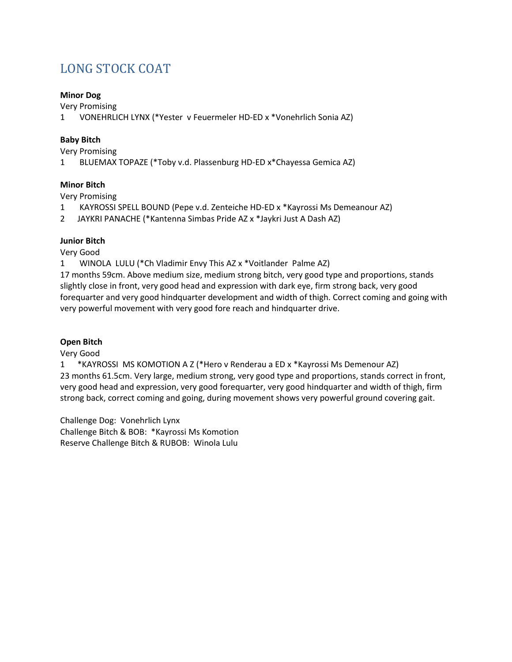## LONG STOCK COAT

#### **Minor Dog**

Very Promising

1 VONEHRLICH LYNX (\*Yester v Feuermeler HD-ED x \*Vonehrlich Sonia AZ)

#### **Baby Bitch**

Very Promising

1 BLUEMAX TOPAZE (\*Toby v.d. Plassenburg HD-ED x\*Chayessa Gemica AZ)

#### **Minor Bitch**

Very Promising

- 1 KAYROSSI SPELL BOUND (Pepe v.d. Zenteiche HD-ED x \*Kayrossi Ms Demeanour AZ)
- 2 JAYKRI PANACHE (\*Kantenna Simbas Pride AZ x \*Jaykri Just A Dash AZ)

### **Junior Bitch**

Very Good

1 WINOLA LULU (\*Ch Vladimir Envy This AZ x \*Voitlander Palme AZ)

17 months 59cm. Above medium size, medium strong bitch, very good type and proportions, stands slightly close in front, very good head and expression with dark eye, firm strong back, very good forequarter and very good hindquarter development and width of thigh. Correct coming and going with very powerful movement with very good fore reach and hindquarter drive.

#### **Open Bitch**

Very Good

1 \*KAYROSSI MS KOMOTION A Z (\*Hero v Renderau a ED x \*Kayrossi Ms Demenour AZ) 23 months 61.5cm. Very large, medium strong, very good type and proportions, stands correct in front, very good head and expression, very good forequarter, very good hindquarter and width of thigh, firm strong back, correct coming and going, during movement shows very powerful ground covering gait.

Challenge Dog: Vonehrlich Lynx Challenge Bitch & BOB: \*Kayrossi Ms Komotion Reserve Challenge Bitch & RUBOB: Winola Lulu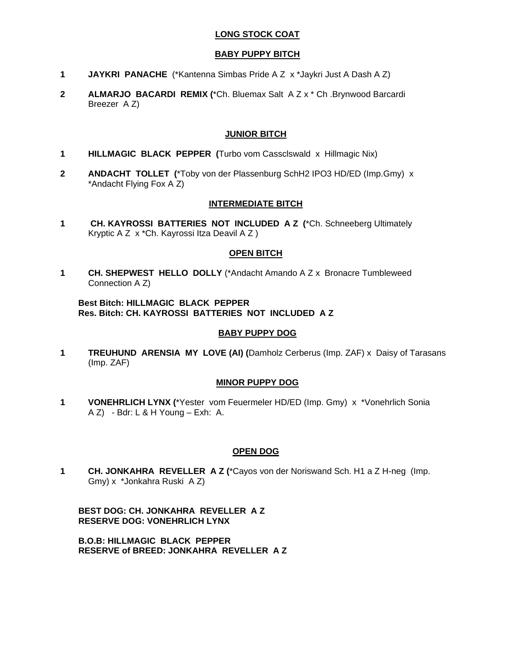#### **LONG STOCK COAT**

#### **BABY PUPPY BITCH**

- **1 JAYKRI PANACHE** (\*Kantenna Simbas Pride A Z x \*Jaykri Just A Dash A Z)
- **2 ALMARJO BACARDI REMIX (**\*Ch. Bluemax Salt A Z x \* Ch .Brynwood Barcardi Breezer A Z)

#### **JUNIOR BITCH**

- **1 HILLMAGIC BLACK PEPPER (**Turbo vom Cassclswald x Hillmagic Nix)
- **2 ANDACHT TOLLET (**\*Toby von der Plassenburg SchH2 IPO3 HD/ED (Imp.Gmy) x \*Andacht Flying Fox A Z)

#### **INTERMEDIATE BITCH**

**1 CH. KAYROSSI BATTERIES NOT INCLUDED A Z (**\*Ch. Schneeberg Ultimately Kryptic A Z x \*Ch. Kayrossi Itza Deavil A Z )

#### **OPEN BITCH**

**1 CH. SHEPWEST HELLO DOLLY** (\*Andacht Amando A Z x Bronacre Tumbleweed Connection A Z)

#### **Best Bitch: HILLMAGIC BLACK PEPPER Res. Bitch: CH. KAYROSSI BATTERIES NOT INCLUDED A Z**

#### **BABY PUPPY DOG**

**1 TREUHUND ARENSIA MY LOVE (AI) (**Damholz Cerberus (Imp. ZAF) x Daisy of Tarasans (Imp. ZAF)

#### **MINOR PUPPY DOG**

**1 VONEHRLICH LYNX (**\*Yester vom Feuermeler HD/ED (Imp. Gmy) x \*Vonehrlich Sonia A Z) - Bdr: L & H Young – Exh: A.

#### **OPEN DOG**

**1 CH. JONKAHRA REVELLER A Z (**\*Cayos von der Noriswand Sch. H1 a Z H-neg (Imp. Gmy) x \*Jonkahra Ruski A Z)

**BEST DOG: CH. JONKAHRA REVELLER A Z RESERVE DOG: VONEHRLICH LYNX** 

**B.O.B: HILLMAGIC BLACK PEPPER RESERVE of BREED: JONKAHRA REVELLER A Z**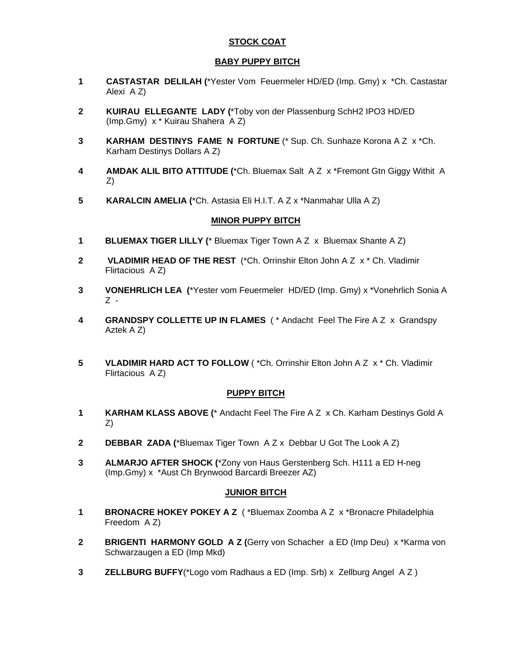#### **STOCK COAT**

#### **BABY PUPPY BITCH**

- **1 CASTASTAR DELILAH (**\*Yester Vom Feuermeler HD/ED (Imp. Gmy) x \*Ch. Castastar Alexi A Z)
- **2 KUIRAU ELLEGANTE LADY (**\*Toby von der Plassenburg SchH2 IPO3 HD/ED (Imp.Gmy) x \* Kuirau Shahera A Z)
- **3 KARHAM DESTINYS FAME N FORTUNE** (\* Sup. Ch. Sunhaze Korona A Z x \*Ch. Karham Destinys Dollars A Z)
- **4 AMDAK ALIL BITO ATTITUDE (**\*Ch. Bluemax Salt A Z x \*Fremont Gtn Giggy Withit A Z)
- **5 KARALCIN AMELIA (**\*Ch. Astasia Eli H.I.T. A Z x \*Nanmahar Ulla A Z)

#### **MINOR PUPPY BITCH**

- **1 BLUEMAX TIGER LILLY (**\* Bluemax Tiger Town A Z x Bluemax Shante A Z)
- **2 VLADIMIR HEAD OF THE REST** (\*Ch. Orrinshir Elton John A Z x \* Ch. Vladimir Flirtacious A Z)
- **3 VONEHRLICH LEA (**\*Yester vom Feuermeler HD/ED (Imp. Gmy) x \*Vonehrlich Sonia A Z -
- **4 GRANDSPY COLLETTE UP IN FLAMES** ( \* Andacht Feel The Fire A Z x Grandspy Aztek A Z)
- **5 VLADIMIR HARD ACT TO FOLLOW** (\*Ch. Orrinshir Elton John A Z x \* Ch. Vladimir Flirtacious A Z)

#### **PUPPY BITCH**

- **1 KARHAM KLASS ABOVE (**\* Andacht Feel The Fire A Z x Ch. Karham Destinys Gold A Z)
- **2 DEBBAR ZADA (**\*Bluemax Tiger Town A Z x Debbar U Got The Look A Z)
- **3 ALMARJO AFTER SHOCK (**\*Zony von Haus Gerstenberg Sch. H111 a ED H-neg (Imp.Gmy) x \*Aust Ch Brynwood Barcardi Breezer AZ)

#### **JUNIOR BITCH**

- **1 BRONACRE HOKEY POKEY A Z** (\*Bluemax Zoomba A Z x \*Bronacre Philadelphia Freedom A Z)
- **2 BRIGENTI HARMONY GOLD A Z (Gerry von Schacher a ED (Imp Deu) x \*Karma von** Schwarzaugen a ED (Imp Mkd)
- **3 ZELLBURG BUFFY**(\*Logo vom Radhaus a ED (Imp. Srb) x Zellburg Angel A Z )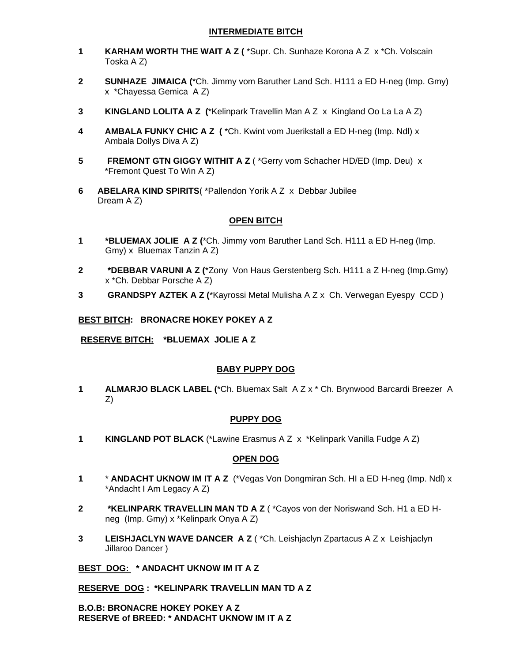#### **INTERMEDIATE BITCH**

- **1 KARHAM WORTH THE WAIT A Z (** \*Supr. Ch. Sunhaze Korona A Z x \*Ch. Volscain Toska A Z)
- **2 SUNHAZE JIMAICA (**\*Ch. Jimmy vom Baruther Land Sch. H111 a ED H-neg (Imp. Gmy) x \*Chayessa Gemica A Z)
- **3 KINGLAND LOLITA A Z (**\*Kelinpark Travellin Man A Z x Kingland Oo La La A Z)
- **4 AMBALA FUNKY CHIC A Z (** \*Ch. Kwint vom Juerikstall a ED H-neg (Imp. Ndl) x Ambala Dollys Diva A Z)
- **5 FREMONT GTN GIGGY WITHIT A Z** ( \*Gerry vom Schacher HD/ED (Imp. Deu) x \*Fremont Quest To Win A Z)
- **6 ABELARA KIND SPIRITS**( \*Pallendon Yorik A Z x Debbar Jubilee Dream A Z)

#### **OPEN BITCH**

- **1 \*BLUEMAX JOLIE A Z (**\*Ch. Jimmy vom Baruther Land Sch. H111 a ED H-neg (Imp. Gmy) x Bluemax Tanzin A Z)
- **2 \*DEBBAR VARUNI A Z (**\*Zony Von Haus Gerstenberg Sch. H111 a Z H-neg (Imp.Gmy) x \*Ch. Debbar Porsche A Z)
- **3 GRANDSPY AZTEK A Z (**\*Kayrossi Metal Mulisha A Z x Ch. Verwegan Eyespy CCD )

#### **BEST BITCH: BRONACRE HOKEY POKEY A Z**

 **RESERVE BITCH: \*BLUEMAX JOLIE A Z** 

#### **BABY PUPPY DOG**

**1 ALMARJO BLACK LABEL (**\*Ch. Bluemax Salt A Z x \* Ch. Brynwood Barcardi Breezer A Z)

#### **PUPPY DOG**

**1 KINGLAND POT BLACK** (\*Lawine Erasmus A Z x \*Kelinpark Vanilla Fudge A Z)

#### **OPEN DOG**

- **1** \* **ANDACHT UKNOW IM IT A Z** (\*Vegas Von Dongmiran Sch. HI a ED H-neg (Imp. Ndl) x \*Andacht I Am Legacy A Z)
- **2 \*KELINPARK TRAVELLIN MAN TD A Z** ( \*Cayos von der Noriswand Sch. H1 a ED Hneg (Imp. Gmy) x \*Kelinpark Onya A Z)
- **3 LEISHJACLYN WAVE DANCER A Z** ( \*Ch. Leishjaclyn Zpartacus A Z x Leishjaclyn Jillaroo Dancer )

#### **BEST DOG: \* ANDACHT UKNOW IM IT A Z**

**RESERVE DOG : \*KELINPARK TRAVELLIN MAN TD A Z** 

**B.O.B: BRONACRE HOKEY POKEY A Z RESERVE of BREED: \* ANDACHT UKNOW IM IT A Z**